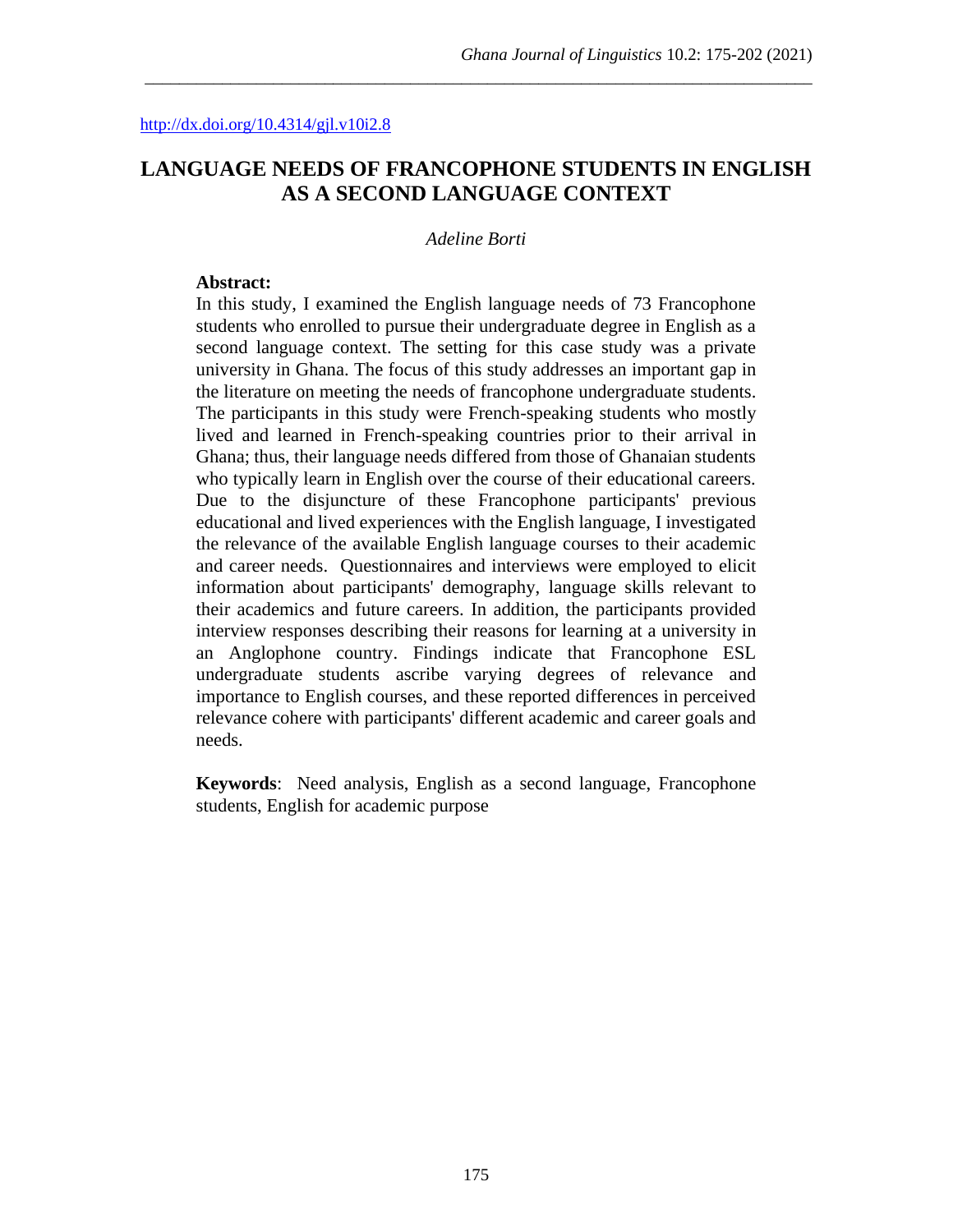# **LANGUAGE NEEDS OF FRANCOPHONE STUDENTS IN ENGLISH AS A SECOND LANGUAGE CONTEXT**

\_\_\_\_\_\_\_\_\_\_\_\_\_\_\_\_\_\_\_\_\_\_\_\_\_\_\_\_\_\_\_\_\_\_\_\_\_\_\_\_\_\_\_\_\_\_\_\_\_\_\_\_\_\_\_\_\_\_\_\_\_\_\_\_\_\_\_\_\_\_\_\_\_\_\_\_\_\_

#### *Adeline Borti*

#### **Abstract:**

In this study, I examined the English language needs of 73 Francophone students who enrolled to pursue their undergraduate degree in English as a second language context. The setting for this case study was a private university in Ghana. The focus of this study addresses an important gap in the literature on meeting the needs of francophone undergraduate students. The participants in this study were French-speaking students who mostly lived and learned in French-speaking countries prior to their arrival in Ghana; thus, their language needs differed from those of Ghanaian students who typically learn in English over the course of their educational careers. Due to the disjuncture of these Francophone participants' previous educational and lived experiences with the English language, I investigated the relevance of the available English language courses to their academic and career needs. Questionnaires and interviews were employed to elicit information about participants' demography, language skills relevant to their academics and future careers. In addition, the participants provided interview responses describing their reasons for learning at a university in an Anglophone country. Findings indicate that Francophone ESL undergraduate students ascribe varying degrees of relevance and importance to English courses, and these reported differences in perceived relevance cohere with participants' different academic and career goals and needs.

**Keywords**: Need analysis, English as a second language, Francophone students, English for academic purpose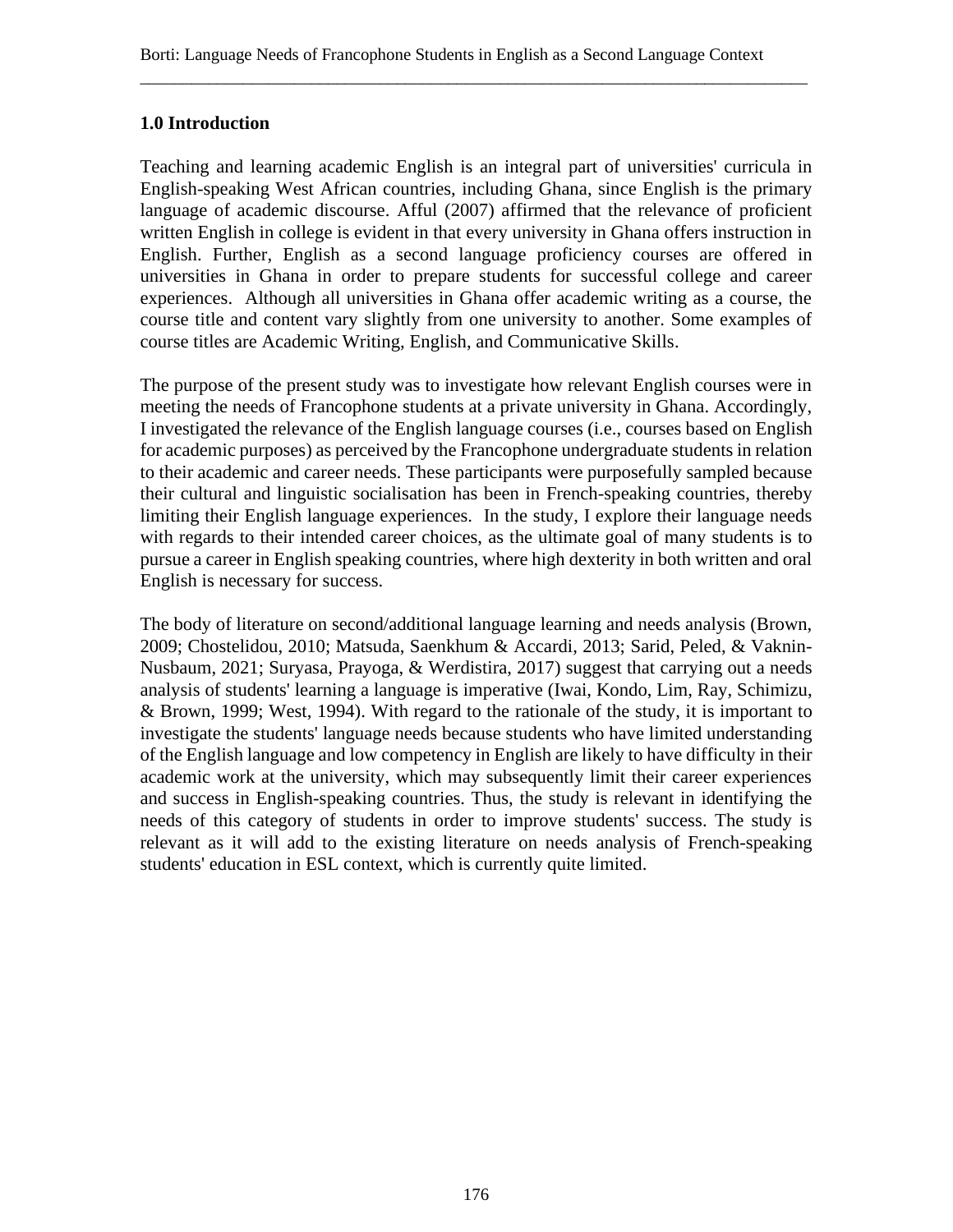## **1.0 Introduction**

Teaching and learning academic English is an integral part of universities' curricula in English-speaking West African countries, including Ghana, since English is the primary language of academic discourse. Afful (2007) affirmed that the relevance of proficient written English in college is evident in that every university in Ghana offers instruction in English. Further, English as a second language proficiency courses are offered in universities in Ghana in order to prepare students for successful college and career experiences. Although all universities in Ghana offer academic writing as a course, the course title and content vary slightly from one university to another. Some examples of course titles are Academic Writing, English, and Communicative Skills.

The purpose of the present study was to investigate how relevant English courses were in meeting the needs of Francophone students at a private university in Ghana. Accordingly, I investigated the relevance of the English language courses (i.e., courses based on English for academic purposes) as perceived by the Francophone undergraduate students in relation to their academic and career needs. These participants were purposefully sampled because their cultural and linguistic socialisation has been in French-speaking countries, thereby limiting their English language experiences. In the study, I explore their language needs with regards to their intended career choices, as the ultimate goal of many students is to pursue a career in English speaking countries, where high dexterity in both written and oral English is necessary for success.

The body of literature on second/additional language learning and needs analysis (Brown, 2009; Chostelidou, 2010; Matsuda, Saenkhum & Accardi, 2013; Sarid, Peled, & Vaknin-Nusbaum, 2021; Suryasa, Prayoga, & Werdistira, 2017) suggest that carrying out a needs analysis of students' learning a language is imperative (Iwai, Kondo, Lim, Ray, Schimizu, & Brown, 1999; West, 1994). With regard to the rationale of the study, it is important to investigate the students' language needs because students who have limited understanding of the English language and low competency in English are likely to have difficulty in their academic work at the university, which may subsequently limit their career experiences and success in English-speaking countries. Thus, the study is relevant in identifying the needs of this category of students in order to improve students' success. The study is relevant as it will add to the existing literature on needs analysis of French-speaking students' education in ESL context, which is currently quite limited.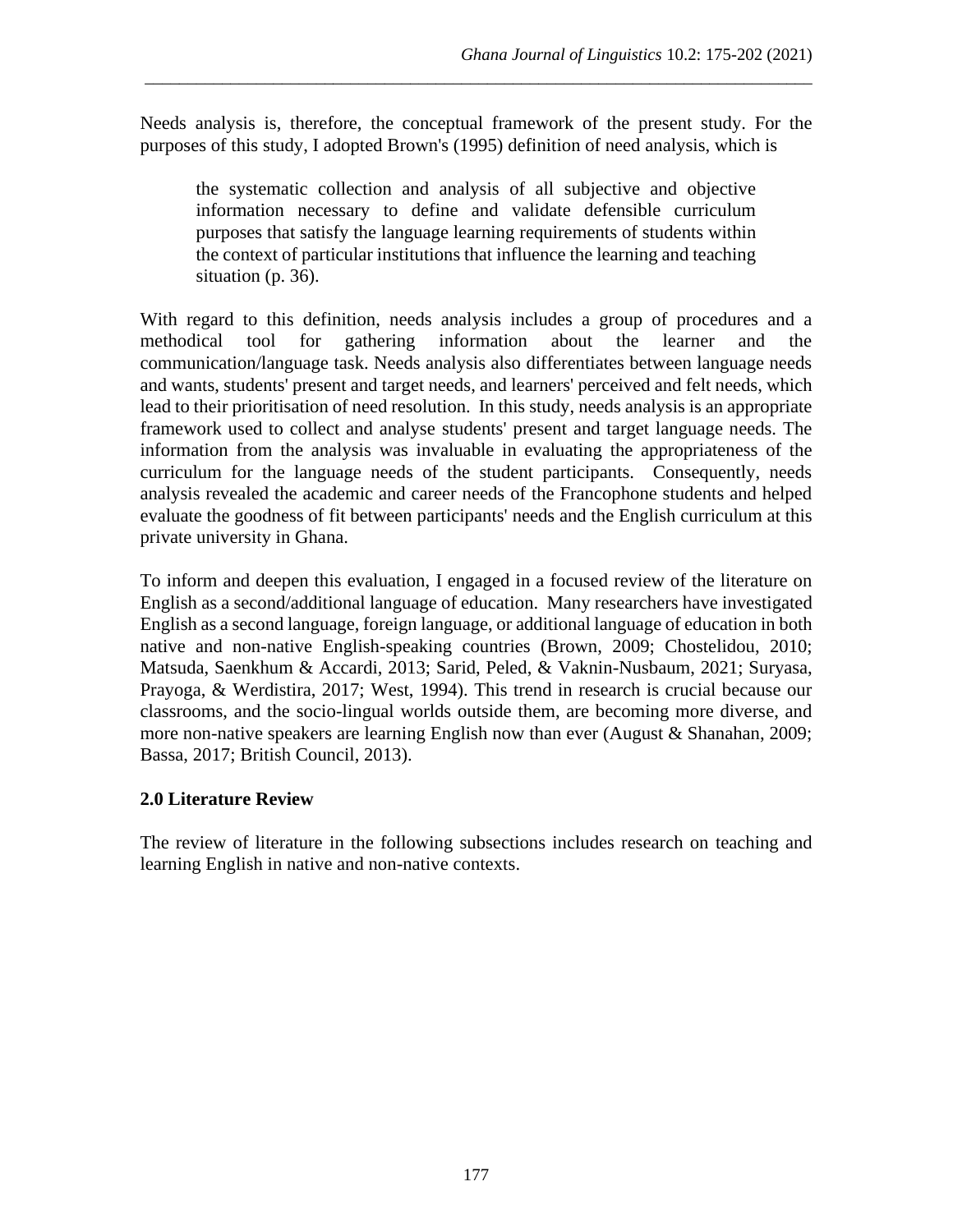Needs analysis is, therefore, the conceptual framework of the present study. For the purposes of this study, I adopted Brown's (1995) definition of need analysis, which is

\_\_\_\_\_\_\_\_\_\_\_\_\_\_\_\_\_\_\_\_\_\_\_\_\_\_\_\_\_\_\_\_\_\_\_\_\_\_\_\_\_\_\_\_\_\_\_\_\_\_\_\_\_\_\_\_\_\_\_\_\_\_\_\_\_\_\_\_\_\_\_\_\_\_\_\_\_\_

the systematic collection and analysis of all subjective and objective information necessary to define and validate defensible curriculum purposes that satisfy the language learning requirements of students within the context of particular institutions that influence the learning and teaching situation (p. 36).

With regard to this definition, needs analysis includes a group of procedures and a methodical tool for gathering information about the learner and the communication/language task. Needs analysis also differentiates between language needs and wants, students' present and target needs, and learners' perceived and felt needs, which lead to their prioritisation of need resolution. In this study, needs analysis is an appropriate framework used to collect and analyse students' present and target language needs. The information from the analysis was invaluable in evaluating the appropriateness of the curriculum for the language needs of the student participants. Consequently, needs analysis revealed the academic and career needs of the Francophone students and helped evaluate the goodness of fit between participants' needs and the English curriculum at this private university in Ghana.

To inform and deepen this evaluation, I engaged in a focused review of the literature on English as a second/additional language of education. Many researchers have investigated English as a second language, foreign language, or additional language of education in both native and non-native English-speaking countries (Brown, 2009; Chostelidou, 2010; Matsuda, Saenkhum & Accardi, 2013; Sarid, Peled, & Vaknin-Nusbaum, 2021; Suryasa, Prayoga, & Werdistira, 2017; West, 1994). This trend in research is crucial because our classrooms, and the socio-lingual worlds outside them, are becoming more diverse, and more non-native speakers are learning English now than ever (August & Shanahan, 2009; Bassa, 2017; British Council, 2013).

## **2.0 Literature Review**

The review of literature in the following subsections includes research on teaching and learning English in native and non-native contexts.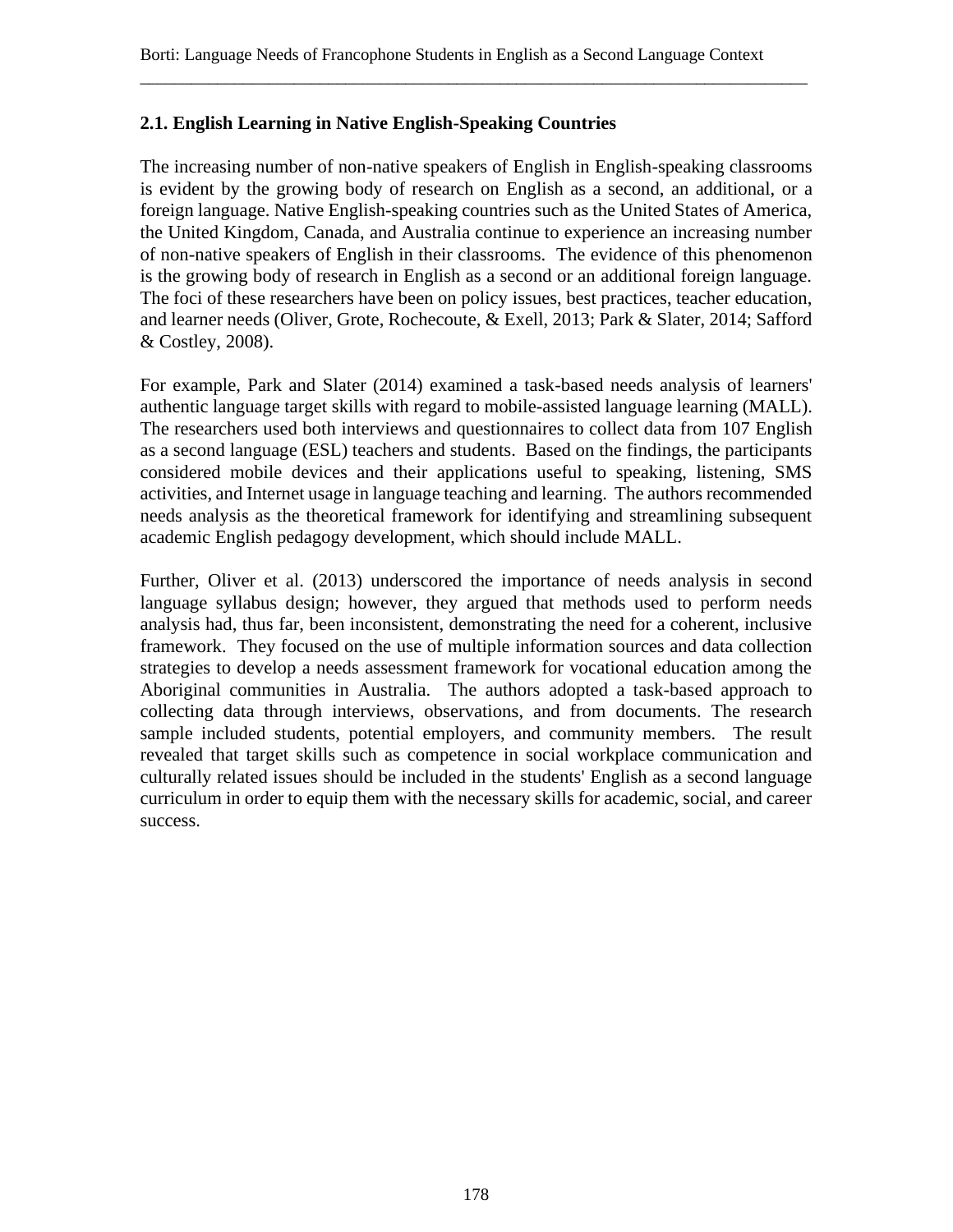## **2.1. English Learning in Native English-Speaking Countries**

The increasing number of non-native speakers of English in English-speaking classrooms is evident by the growing body of research on English as a second, an additional, or a foreign language. Native English-speaking countries such as the United States of America, the United Kingdom, Canada, and Australia continue to experience an increasing number of non-native speakers of English in their classrooms. The evidence of this phenomenon is the growing body of research in English as a second or an additional foreign language. The foci of these researchers have been on policy issues, best practices, teacher education, and learner needs (Oliver, Grote, Rochecoute, & Exell, 2013; Park & Slater, 2014; Safford & Costley, 2008).

For example, Park and Slater (2014) examined a task-based needs analysis of learners' authentic language target skills with regard to mobile-assisted language learning (MALL). The researchers used both interviews and questionnaires to collect data from 107 English as a second language (ESL) teachers and students. Based on the findings, the participants considered mobile devices and their applications useful to speaking, listening, SMS activities, and Internet usage in language teaching and learning. The authors recommended needs analysis as the theoretical framework for identifying and streamlining subsequent academic English pedagogy development, which should include MALL.

Further, Oliver et al. (2013) underscored the importance of needs analysis in second language syllabus design; however, they argued that methods used to perform needs analysis had, thus far, been inconsistent, demonstrating the need for a coherent, inclusive framework. They focused on the use of multiple information sources and data collection strategies to develop a needs assessment framework for vocational education among the Aboriginal communities in Australia. The authors adopted a task-based approach to collecting data through interviews, observations, and from documents. The research sample included students, potential employers, and community members. The result revealed that target skills such as competence in social workplace communication and culturally related issues should be included in the students' English as a second language curriculum in order to equip them with the necessary skills for academic, social, and career success.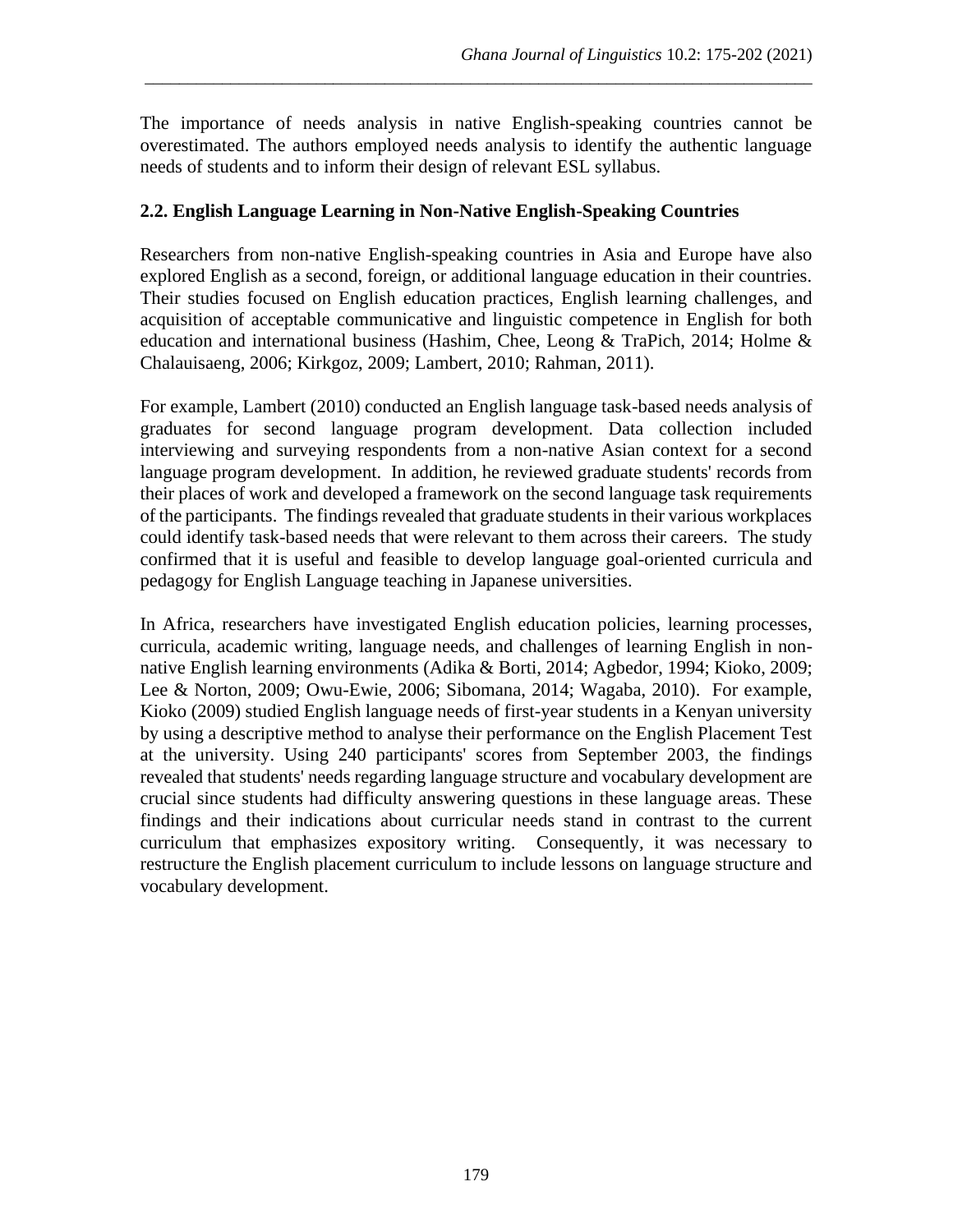The importance of needs analysis in native English-speaking countries cannot be overestimated. The authors employed needs analysis to identify the authentic language needs of students and to inform their design of relevant ESL syllabus.

\_\_\_\_\_\_\_\_\_\_\_\_\_\_\_\_\_\_\_\_\_\_\_\_\_\_\_\_\_\_\_\_\_\_\_\_\_\_\_\_\_\_\_\_\_\_\_\_\_\_\_\_\_\_\_\_\_\_\_\_\_\_\_\_\_\_\_\_\_\_\_\_\_\_\_\_\_\_

## **2.2. English Language Learning in Non-Native English-Speaking Countries**

Researchers from non-native English-speaking countries in Asia and Europe have also explored English as a second, foreign, or additional language education in their countries. Their studies focused on English education practices, English learning challenges, and acquisition of acceptable communicative and linguistic competence in English for both education and international business (Hashim, Chee, Leong & TraPich, 2014; Holme & Chalauisaeng, 2006; Kirkgoz, 2009; Lambert, 2010; Rahman, 2011).

For example, Lambert (2010) conducted an English language task-based needs analysis of graduates for second language program development. Data collection included interviewing and surveying respondents from a non-native Asian context for a second language program development. In addition, he reviewed graduate students' records from their places of work and developed a framework on the second language task requirements of the participants. The findings revealed that graduate students in their various workplaces could identify task-based needs that were relevant to them across their careers. The study confirmed that it is useful and feasible to develop language goal-oriented curricula and pedagogy for English Language teaching in Japanese universities.

In Africa, researchers have investigated English education policies, learning processes, curricula, academic writing, language needs, and challenges of learning English in nonnative English learning environments (Adika & Borti, 2014; Agbedor, 1994; Kioko, 2009; Lee & Norton, 2009; Owu-Ewie, 2006; Sibomana, 2014; Wagaba, 2010). For example, Kioko (2009) studied English language needs of first-year students in a Kenyan university by using a descriptive method to analyse their performance on the English Placement Test at the university. Using 240 participants' scores from September 2003, the findings revealed that students' needs regarding language structure and vocabulary development are crucial since students had difficulty answering questions in these language areas. These findings and their indications about curricular needs stand in contrast to the current curriculum that emphasizes expository writing. Consequently, it was necessary to restructure the English placement curriculum to include lessons on language structure and vocabulary development.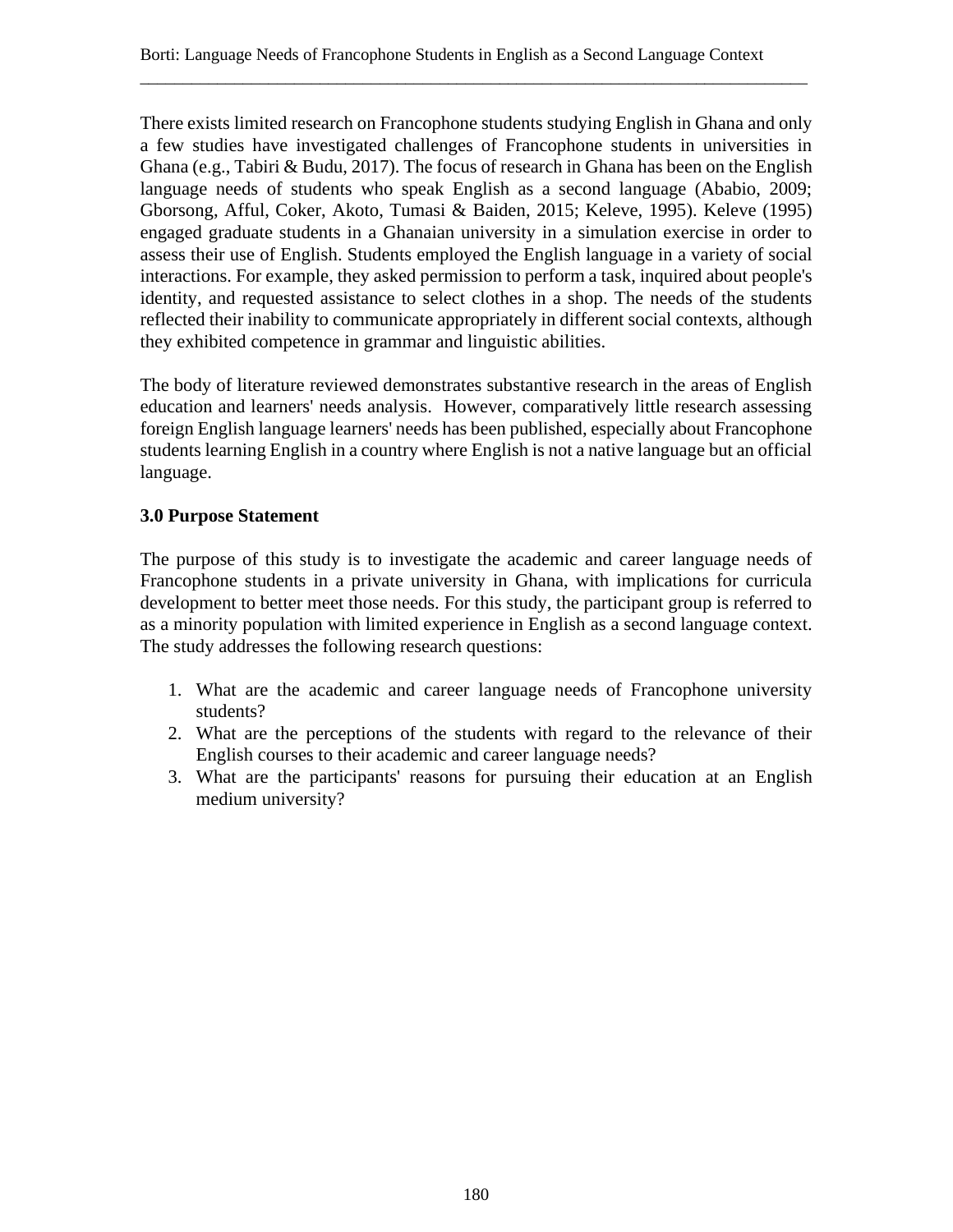There exists limited research on Francophone students studying English in Ghana and only a few studies have investigated challenges of Francophone students in universities in Ghana (e.g., Tabiri & Budu, 2017). The focus of research in Ghana has been on the English language needs of students who speak English as a second language (Ababio, 2009; Gborsong, Afful, Coker, Akoto, Tumasi & Baiden, 2015; Keleve, 1995). Keleve (1995) engaged graduate students in a Ghanaian university in a simulation exercise in order to assess their use of English. Students employed the English language in a variety of social interactions. For example, they asked permission to perform a task, inquired about people's identity, and requested assistance to select clothes in a shop. The needs of the students reflected their inability to communicate appropriately in different social contexts, although they exhibited competence in grammar and linguistic abilities.

The body of literature reviewed demonstrates substantive research in the areas of English education and learners' needs analysis. However, comparatively little research assessing foreign English language learners' needs has been published, especially about Francophone students learning English in a country where English is not a native language but an official language.

## **3.0 Purpose Statement**

The purpose of this study is to investigate the academic and career language needs of Francophone students in a private university in Ghana, with implications for curricula development to better meet those needs. For this study, the participant group is referred to as a minority population with limited experience in English as a second language context. The study addresses the following research questions:

- 1. What are the academic and career language needs of Francophone university students?
- 2. What are the perceptions of the students with regard to the relevance of their English courses to their academic and career language needs?
- 3. What are the participants' reasons for pursuing their education at an English medium university?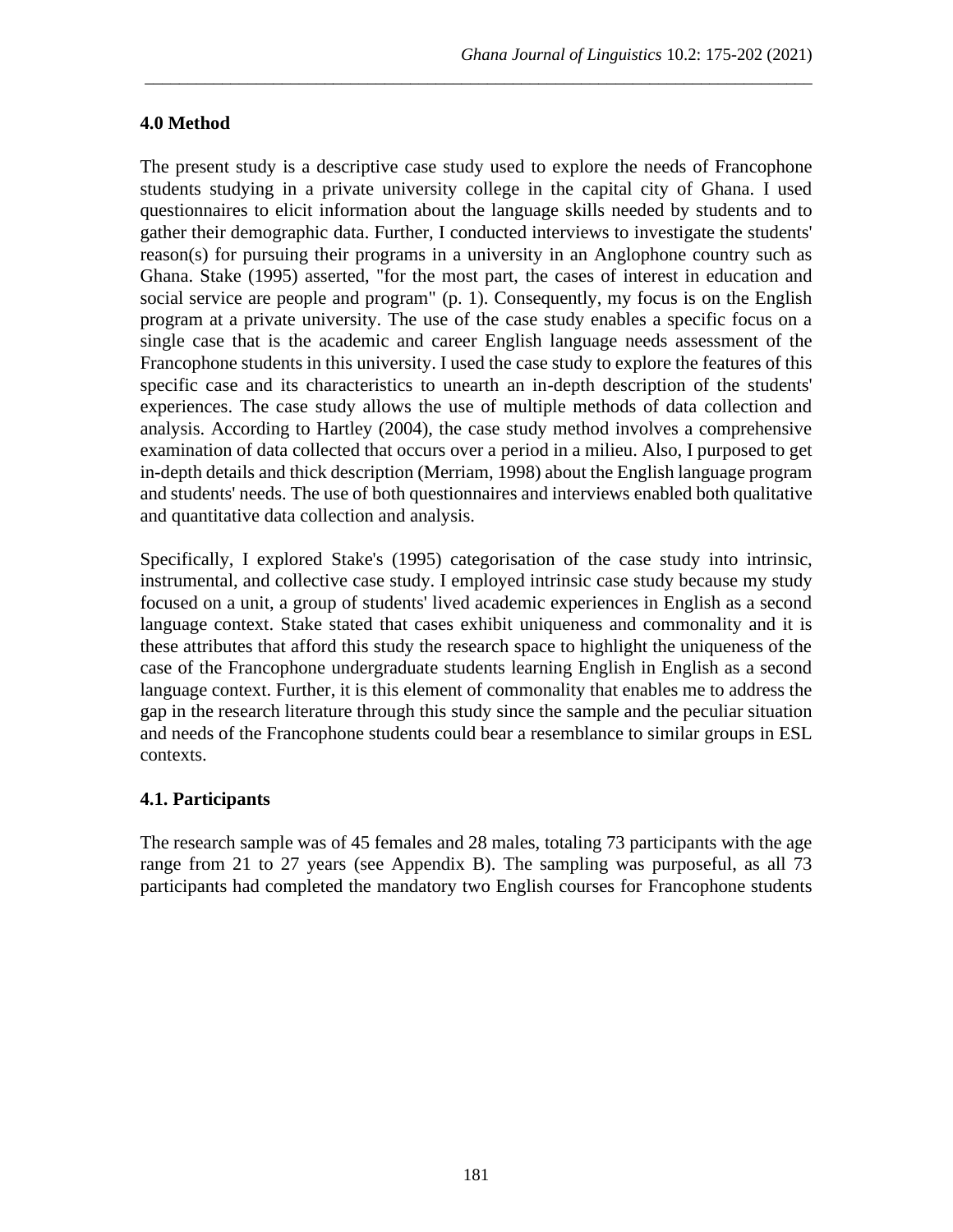## **4.0 Method**

The present study is a descriptive case study used to explore the needs of Francophone students studying in a private university college in the capital city of Ghana. I used questionnaires to elicit information about the language skills needed by students and to gather their demographic data. Further, I conducted interviews to investigate the students' reason(s) for pursuing their programs in a university in an Anglophone country such as Ghana. Stake (1995) asserted, "for the most part, the cases of interest in education and social service are people and program" (p. 1). Consequently, my focus is on the English program at a private university. The use of the case study enables a specific focus on a single case that is the academic and career English language needs assessment of the Francophone students in this university. I used the case study to explore the features of this specific case and its characteristics to unearth an in-depth description of the students' experiences. The case study allows the use of multiple methods of data collection and analysis. According to Hartley (2004), the case study method involves a comprehensive examination of data collected that occurs over a period in a milieu. Also, I purposed to get in-depth details and thick description (Merriam, 1998) about the English language program and students' needs. The use of both questionnaires and interviews enabled both qualitative and quantitative data collection and analysis.

\_\_\_\_\_\_\_\_\_\_\_\_\_\_\_\_\_\_\_\_\_\_\_\_\_\_\_\_\_\_\_\_\_\_\_\_\_\_\_\_\_\_\_\_\_\_\_\_\_\_\_\_\_\_\_\_\_\_\_\_\_\_\_\_\_\_\_\_\_\_\_\_\_\_\_\_\_\_

Specifically, I explored Stake's (1995) categorisation of the case study into intrinsic, instrumental, and collective case study. I employed intrinsic case study because my study focused on a unit, a group of students' lived academic experiences in English as a second language context. Stake stated that cases exhibit uniqueness and commonality and it is these attributes that afford this study the research space to highlight the uniqueness of the case of the Francophone undergraduate students learning English in English as a second language context. Further, it is this element of commonality that enables me to address the gap in the research literature through this study since the sample and the peculiar situation and needs of the Francophone students could bear a resemblance to similar groups in ESL contexts.

## **4.1. Participants**

The research sample was of 45 females and 28 males, totaling 73 participants with the age range from 21 to 27 years (see Appendix B). The sampling was purposeful, as all 73 participants had completed the mandatory two English courses for Francophone students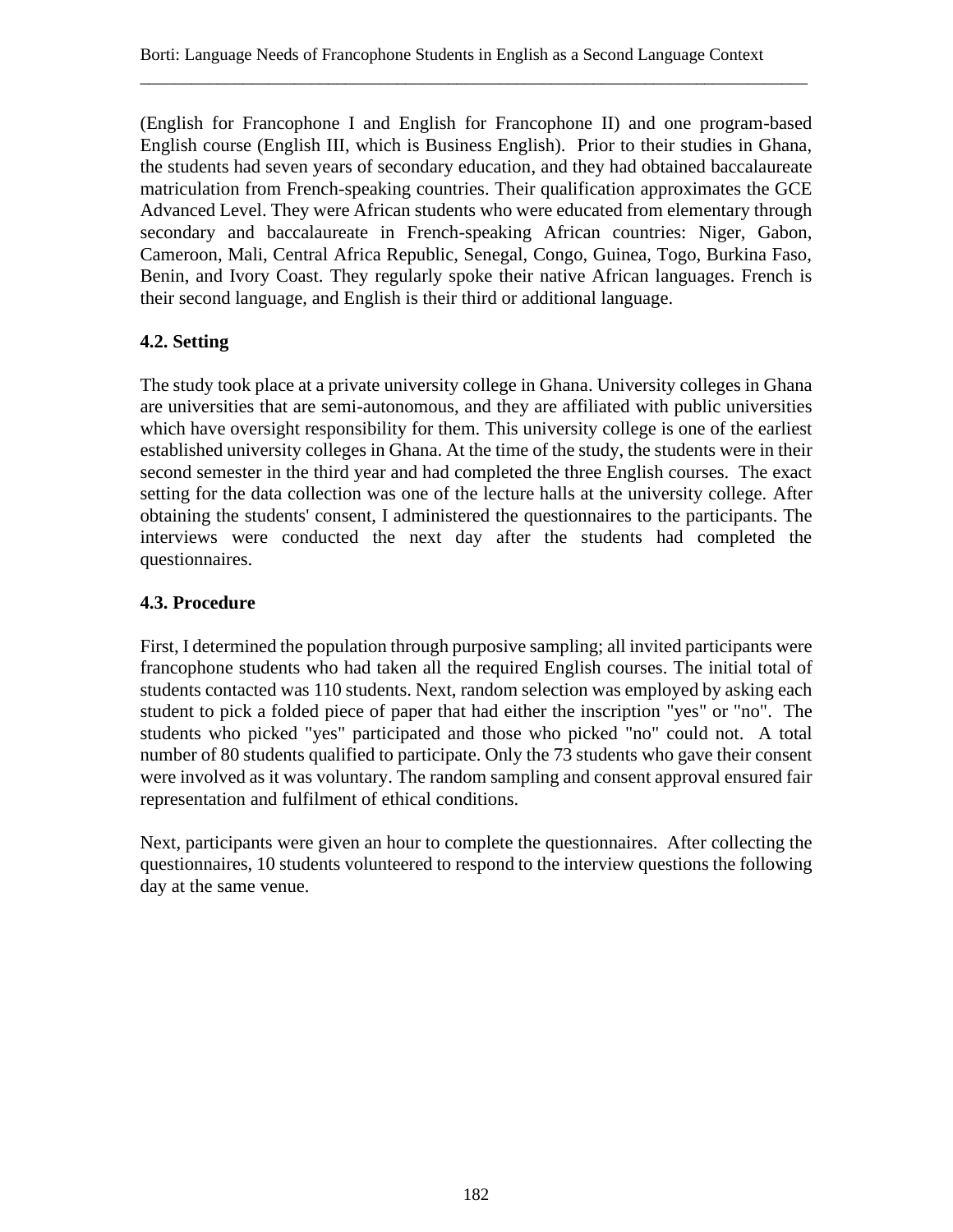(English for Francophone I and English for Francophone II) and one program-based English course (English III, which is Business English). Prior to their studies in Ghana, the students had seven years of secondary education, and they had obtained baccalaureate matriculation from French-speaking countries. Their qualification approximates the GCE Advanced Level. They were African students who were educated from elementary through secondary and baccalaureate in French-speaking African countries: Niger, Gabon, Cameroon, Mali, Central Africa Republic, Senegal, Congo, Guinea, Togo, Burkina Faso, Benin, and Ivory Coast. They regularly spoke their native African languages. French is their second language, and English is their third or additional language.

# **4.2. Setting**

The study took place at a private university college in Ghana. University colleges in Ghana are universities that are semi-autonomous, and they are affiliated with public universities which have oversight responsibility for them. This university college is one of the earliest established university colleges in Ghana. At the time of the study, the students were in their second semester in the third year and had completed the three English courses. The exact setting for the data collection was one of the lecture halls at the university college. After obtaining the students' consent, I administered the questionnaires to the participants. The interviews were conducted the next day after the students had completed the questionnaires.

## **4.3. Procedure**

First, I determined the population through purposive sampling; all invited participants were francophone students who had taken all the required English courses. The initial total of students contacted was 110 students. Next, random selection was employed by asking each student to pick a folded piece of paper that had either the inscription "yes" or "no". The students who picked "yes" participated and those who picked "no" could not. A total number of 80 students qualified to participate. Only the 73 students who gave their consent were involved as it was voluntary. The random sampling and consent approval ensured fair representation and fulfilment of ethical conditions.

Next, participants were given an hour to complete the questionnaires. After collecting the questionnaires, 10 students volunteered to respond to the interview questions the following day at the same venue.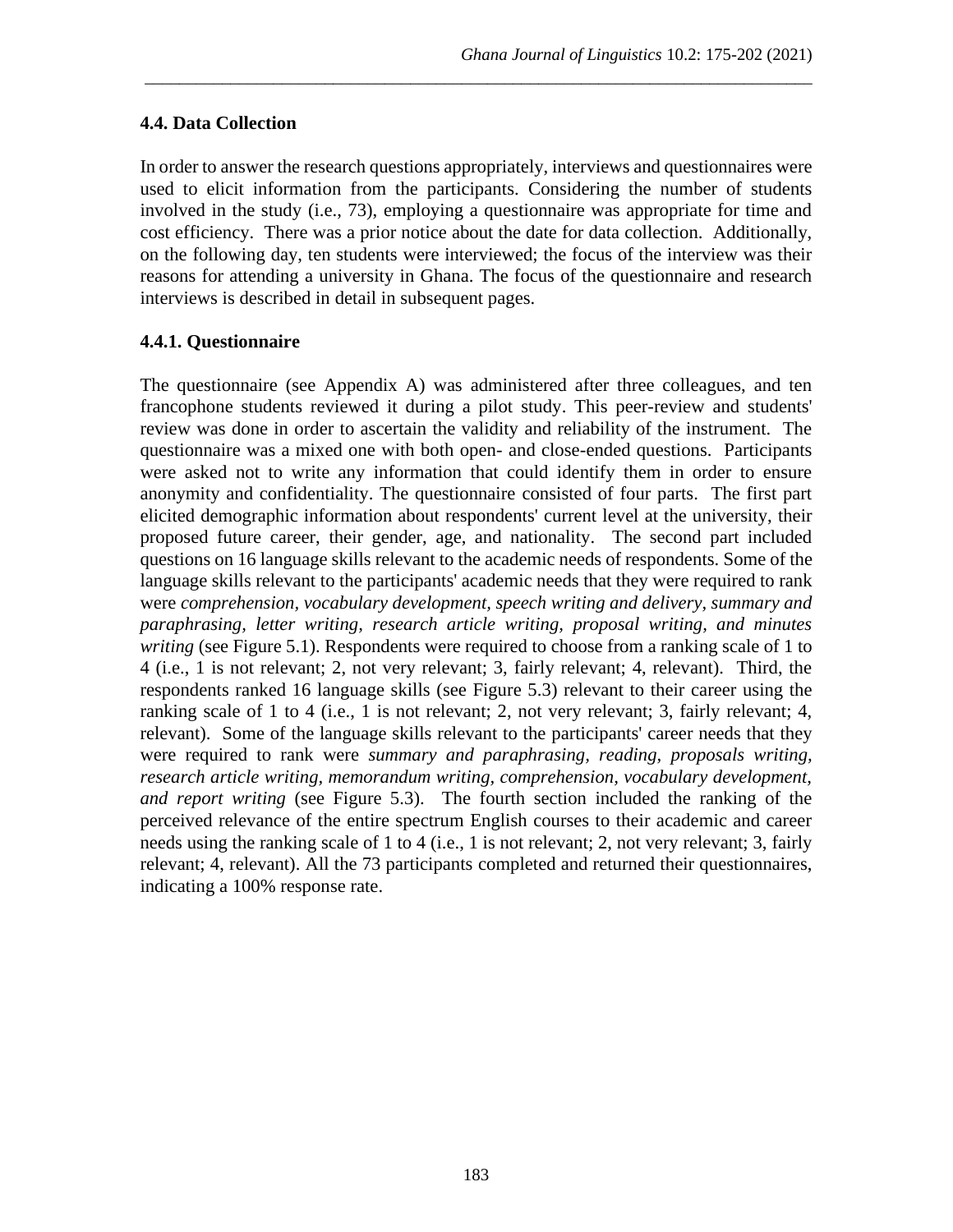## **4.4. Data Collection**

In order to answer the research questions appropriately, interviews and questionnaires were used to elicit information from the participants. Considering the number of students involved in the study (i.e., 73), employing a questionnaire was appropriate for time and cost efficiency. There was a prior notice about the date for data collection. Additionally, on the following day, ten students were interviewed; the focus of the interview was their reasons for attending a university in Ghana. The focus of the questionnaire and research interviews is described in detail in subsequent pages.

\_\_\_\_\_\_\_\_\_\_\_\_\_\_\_\_\_\_\_\_\_\_\_\_\_\_\_\_\_\_\_\_\_\_\_\_\_\_\_\_\_\_\_\_\_\_\_\_\_\_\_\_\_\_\_\_\_\_\_\_\_\_\_\_\_\_\_\_\_\_\_\_\_\_\_\_\_\_

## **4.4.1. Questionnaire**

The questionnaire (see Appendix A) was administered after three colleagues, and ten francophone students reviewed it during a pilot study. This peer-review and students' review was done in order to ascertain the validity and reliability of the instrument. The questionnaire was a mixed one with both open- and close-ended questions. Participants were asked not to write any information that could identify them in order to ensure anonymity and confidentiality. The questionnaire consisted of four parts. The first part elicited demographic information about respondents' current level at the university, their proposed future career, their gender, age, and nationality. The second part included questions on 16 language skills relevant to the academic needs of respondents. Some of the language skills relevant to the participants' academic needs that they were required to rank were *comprehension, vocabulary development, speech writing and delivery, summary and paraphrasing, letter writing, research article writing, proposal writing, and minutes writing* (see Figure 5.1). Respondents were required to choose from a ranking scale of 1 to 4 (i.e., 1 is not relevant; 2, not very relevant; 3, fairly relevant; 4, relevant). Third, the respondents ranked 16 language skills (see Figure 5.3) relevant to their career using the ranking scale of 1 to 4 (i.e., 1 is not relevant; 2, not very relevant; 3, fairly relevant; 4, relevant). Some of the language skills relevant to the participants' career needs that they were required to rank were *summary and paraphrasing, reading, proposals writing, research article writing, memorandum writing, comprehension, vocabulary development, and report writing* (see Figure 5.3). The fourth section included the ranking of the perceived relevance of the entire spectrum English courses to their academic and career needs using the ranking scale of 1 to 4 (i.e., 1 is not relevant; 2, not very relevant; 3, fairly relevant; 4, relevant). All the 73 participants completed and returned their questionnaires, indicating a 100% response rate.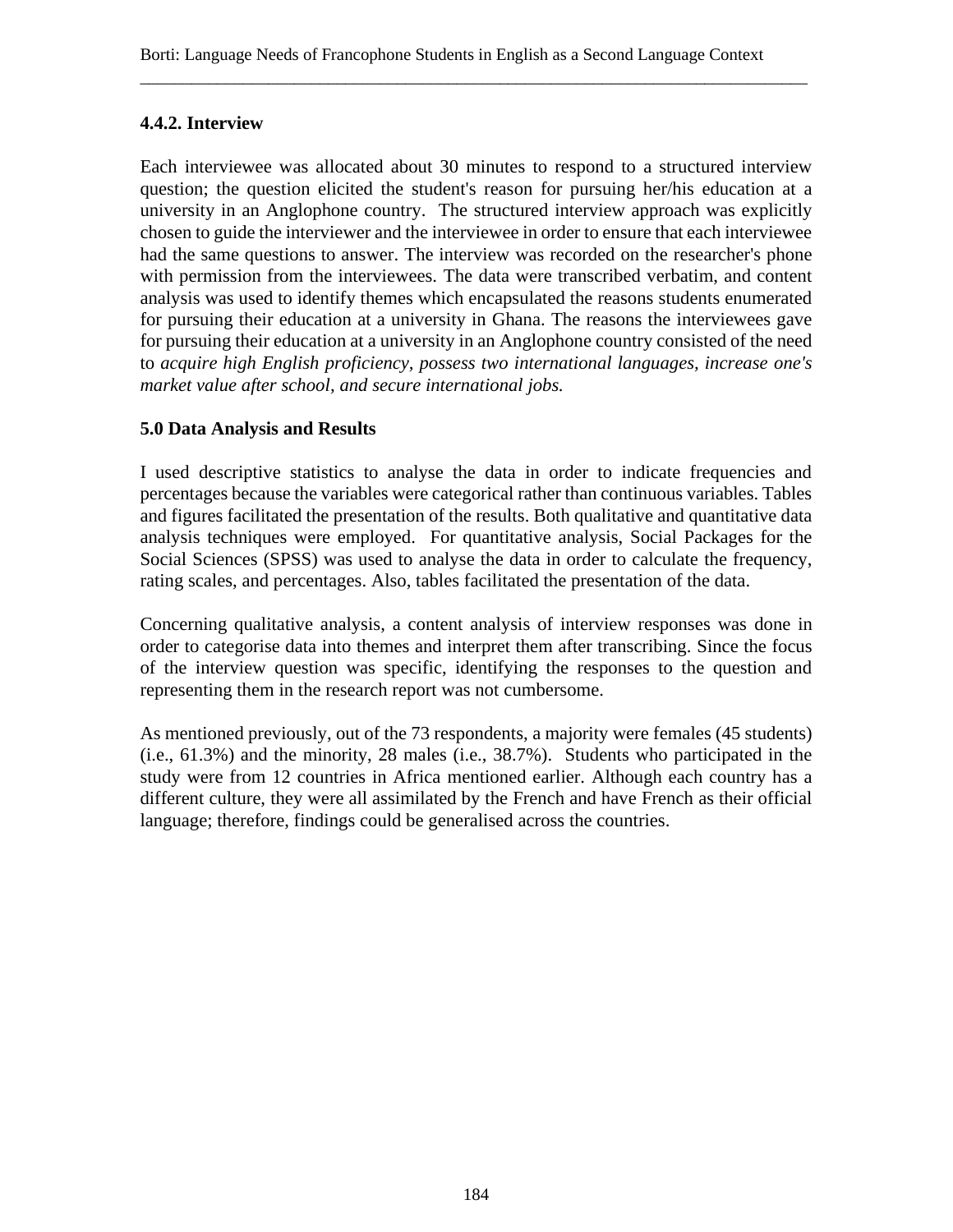## **4.4.2. Interview**

Each interviewee was allocated about 30 minutes to respond to a structured interview question; the question elicited the student's reason for pursuing her/his education at a university in an Anglophone country. The structured interview approach was explicitly chosen to guide the interviewer and the interviewee in order to ensure that each interviewee had the same questions to answer. The interview was recorded on the researcher's phone with permission from the interviewees. The data were transcribed verbatim, and content analysis was used to identify themes which encapsulated the reasons students enumerated for pursuing their education at a university in Ghana. The reasons the interviewees gave for pursuing their education at a university in an Anglophone country consisted of the need to *acquire high English proficiency, possess two international languages, increase one's market value after school, and secure international jobs.*

## **5.0 Data Analysis and Results**

I used descriptive statistics to analyse the data in order to indicate frequencies and percentages because the variables were categorical rather than continuous variables. Tables and figures facilitated the presentation of the results. Both qualitative and quantitative data analysis techniques were employed. For quantitative analysis, Social Packages for the Social Sciences (SPSS) was used to analyse the data in order to calculate the frequency, rating scales, and percentages. Also, tables facilitated the presentation of the data.

Concerning qualitative analysis, a content analysis of interview responses was done in order to categorise data into themes and interpret them after transcribing. Since the focus of the interview question was specific, identifying the responses to the question and representing them in the research report was not cumbersome.

As mentioned previously, out of the 73 respondents, a majority were females (45 students) (i.e., 61.3%) and the minority, 28 males (i.e., 38.7%). Students who participated in the study were from 12 countries in Africa mentioned earlier. Although each country has a different culture, they were all assimilated by the French and have French as their official language; therefore, findings could be generalised across the countries.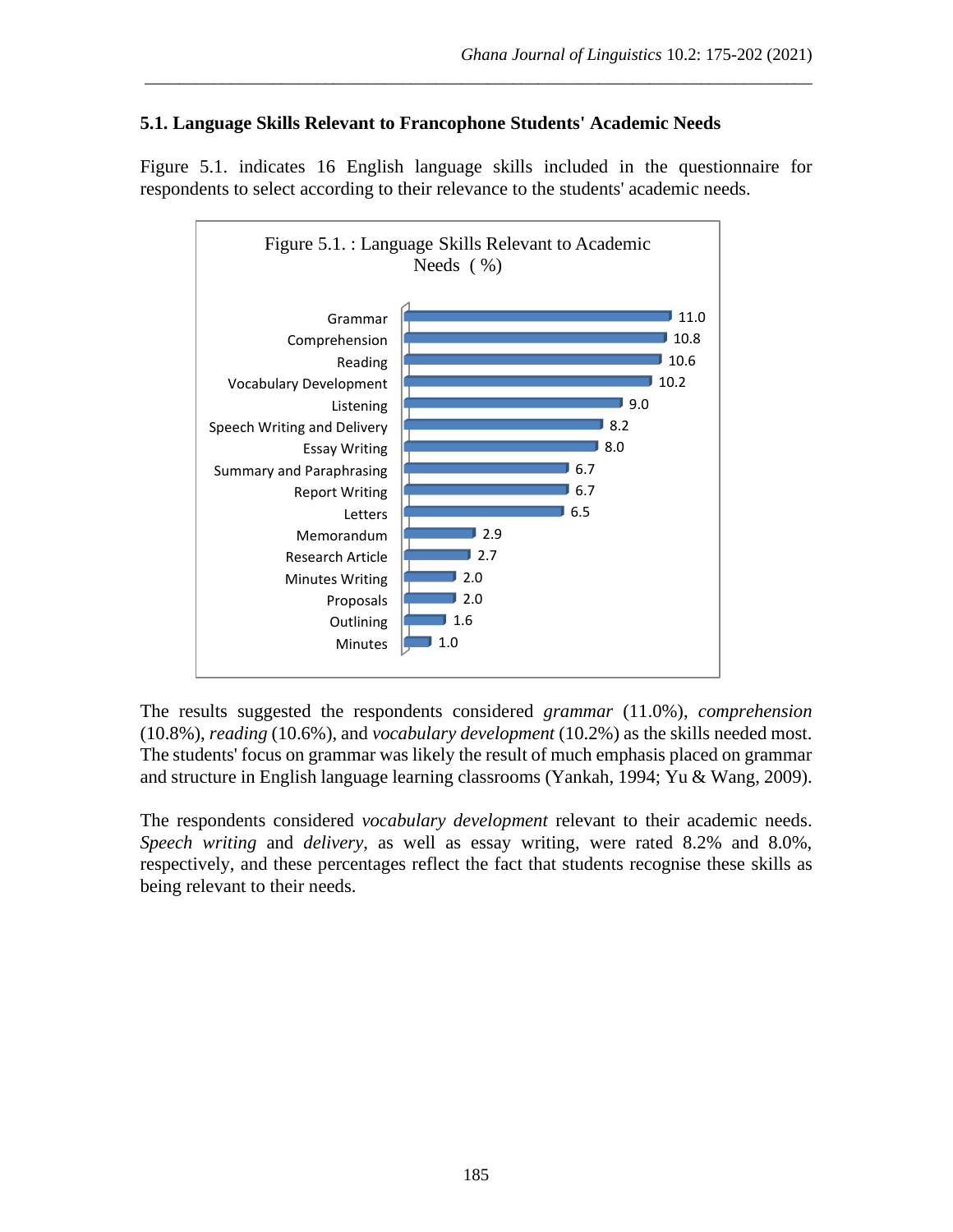## **5.1. Language Skills Relevant to Francophone Students' Academic Needs**

Figure 5.1. indicates 16 English language skills included in the questionnaire for respondents to select according to their relevance to the students' academic needs.

\_\_\_\_\_\_\_\_\_\_\_\_\_\_\_\_\_\_\_\_\_\_\_\_\_\_\_\_\_\_\_\_\_\_\_\_\_\_\_\_\_\_\_\_\_\_\_\_\_\_\_\_\_\_\_\_\_\_\_\_\_\_\_\_\_\_\_\_\_\_\_\_\_\_\_\_\_\_



The results suggested the respondents considered *grammar* (11.0%), *comprehension* (10.8%), *reading* (10.6%), and *vocabulary development* (10.2%) as the skills needed most. The students' focus on grammar was likely the result of much emphasis placed on grammar and structure in English language learning classrooms (Yankah, 1994; Yu & Wang, 2009).

The respondents considered *vocabulary development* relevant to their academic needs. *Speech writing* and *delivery*, as well as essay writing, were rated 8.2% and 8.0%, respectively, and these percentages reflect the fact that students recognise these skills as being relevant to their needs.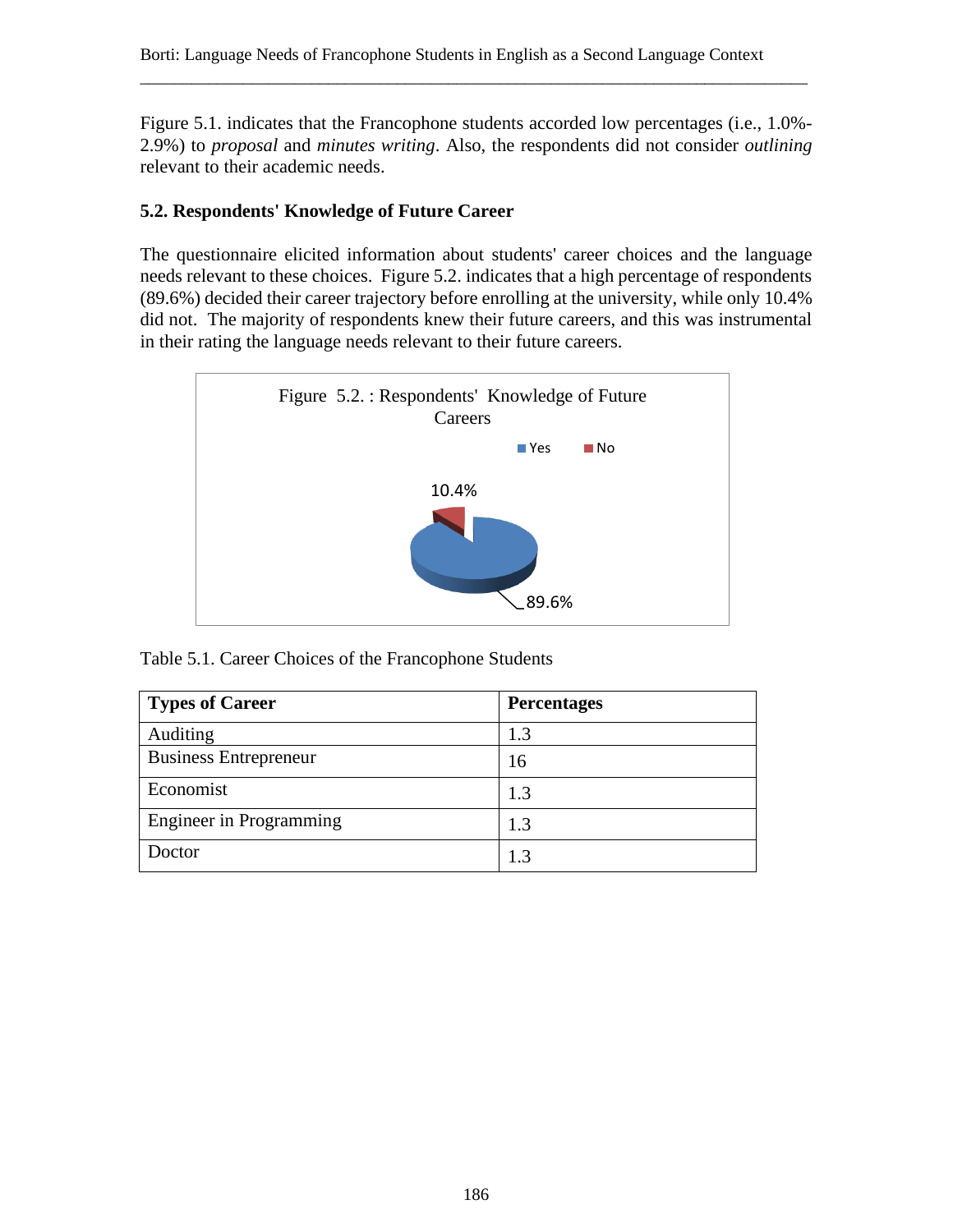Figure 5.1. indicates that the Francophone students accorded low percentages (i.e., 1.0%- 2.9%) to *proposal* and *minutes writing*. Also, the respondents did not consider *outlining*  relevant to their academic needs.

\_\_\_\_\_\_\_\_\_\_\_\_\_\_\_\_\_\_\_\_\_\_\_\_\_\_\_\_\_\_\_\_\_\_\_\_\_\_\_\_\_\_\_\_\_\_\_\_\_\_\_\_\_\_\_\_\_\_\_\_\_\_\_\_\_\_\_\_\_\_\_\_\_\_\_\_\_\_

## **5.2. Respondents' Knowledge of Future Career**

The questionnaire elicited information about students' career choices and the language needs relevant to these choices. Figure 5.2. indicates that a high percentage of respondents (89.6%) decided their career trajectory before enrolling at the university, while only 10.4% did not. The majority of respondents knew their future careers, and this was instrumental in their rating the language needs relevant to their future careers.



Table 5.1. Career Choices of the Francophone Students

| <b>Types of Career</b>         | <b>Percentages</b> |
|--------------------------------|--------------------|
| Auditing                       | 1.3                |
| <b>Business Entrepreneur</b>   | 16                 |
| Economist                      | 1.3                |
| <b>Engineer</b> in Programming | 1.3                |
| Doctor                         | 1.3                |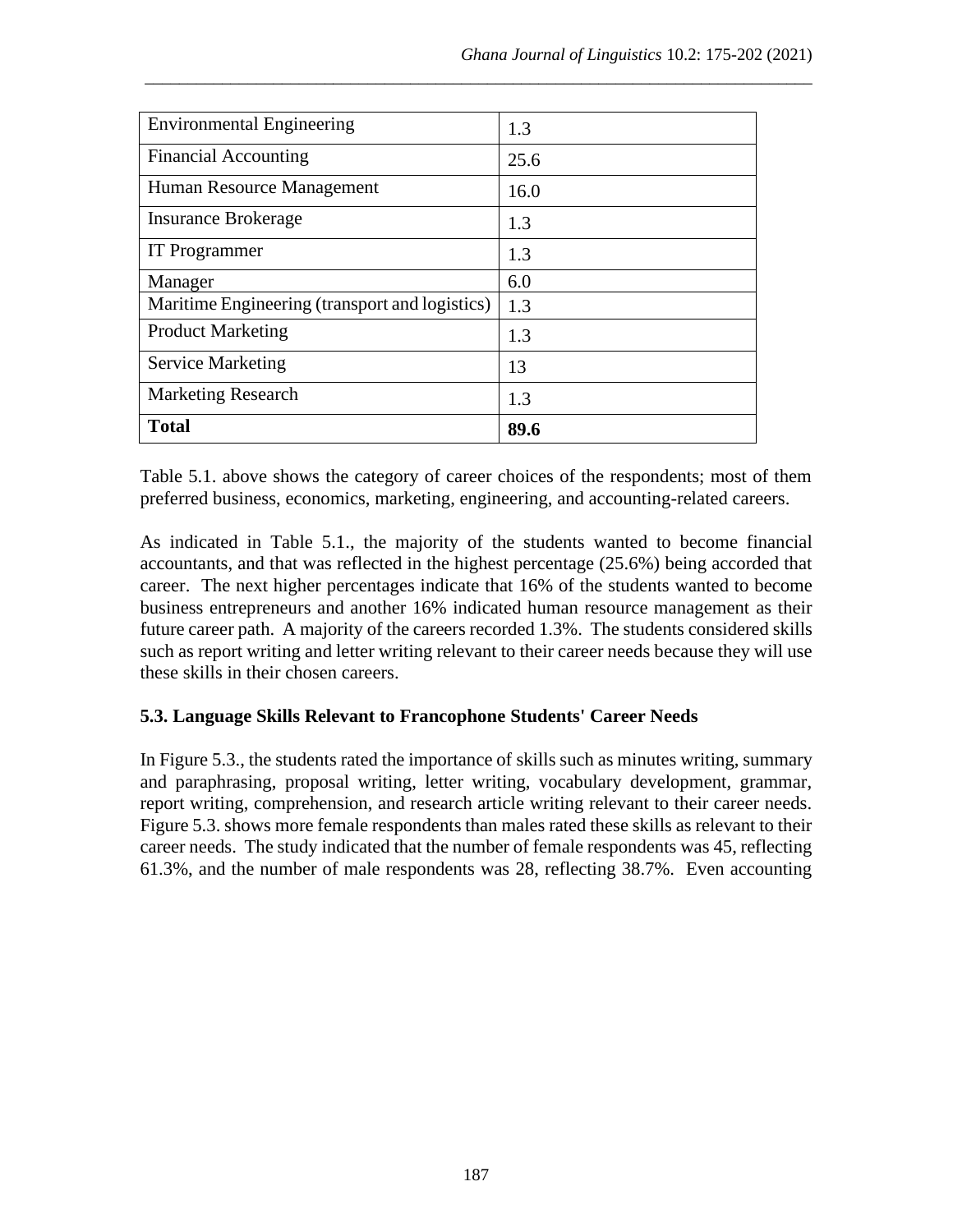| <b>Environmental Engineering</b>               | 1.3  |
|------------------------------------------------|------|
| <b>Financial Accounting</b>                    | 25.6 |
| Human Resource Management                      | 16.0 |
| <b>Insurance Brokerage</b>                     | 1.3  |
| <b>IT</b> Programmer                           | 1.3  |
| Manager                                        | 6.0  |
| Maritime Engineering (transport and logistics) | 1.3  |
| <b>Product Marketing</b>                       | 1.3  |
| <b>Service Marketing</b>                       | 13   |
| <b>Marketing Research</b>                      | 1.3  |
| <b>Total</b>                                   | 89.6 |

Table 5.1. above shows the category of career choices of the respondents; most of them preferred business, economics, marketing, engineering, and accounting-related careers.

As indicated in Table 5.1., the majority of the students wanted to become financial accountants, and that was reflected in the highest percentage (25.6%) being accorded that career. The next higher percentages indicate that 16% of the students wanted to become business entrepreneurs and another 16% indicated human resource management as their future career path. A majority of the careers recorded 1.3%. The students considered skills such as report writing and letter writing relevant to their career needs because they will use these skills in their chosen careers.

## **5.3. Language Skills Relevant to Francophone Students' Career Needs**

In Figure 5.3., the students rated the importance of skills such as minutes writing, summary and paraphrasing, proposal writing, letter writing, vocabulary development, grammar, report writing, comprehension, and research article writing relevant to their career needs. Figure 5.3. shows more female respondents than males rated these skills as relevant to their career needs. The study indicated that the number of female respondents was 45, reflecting 61.3%, and the number of male respondents was 28, reflecting 38.7%. Even accounting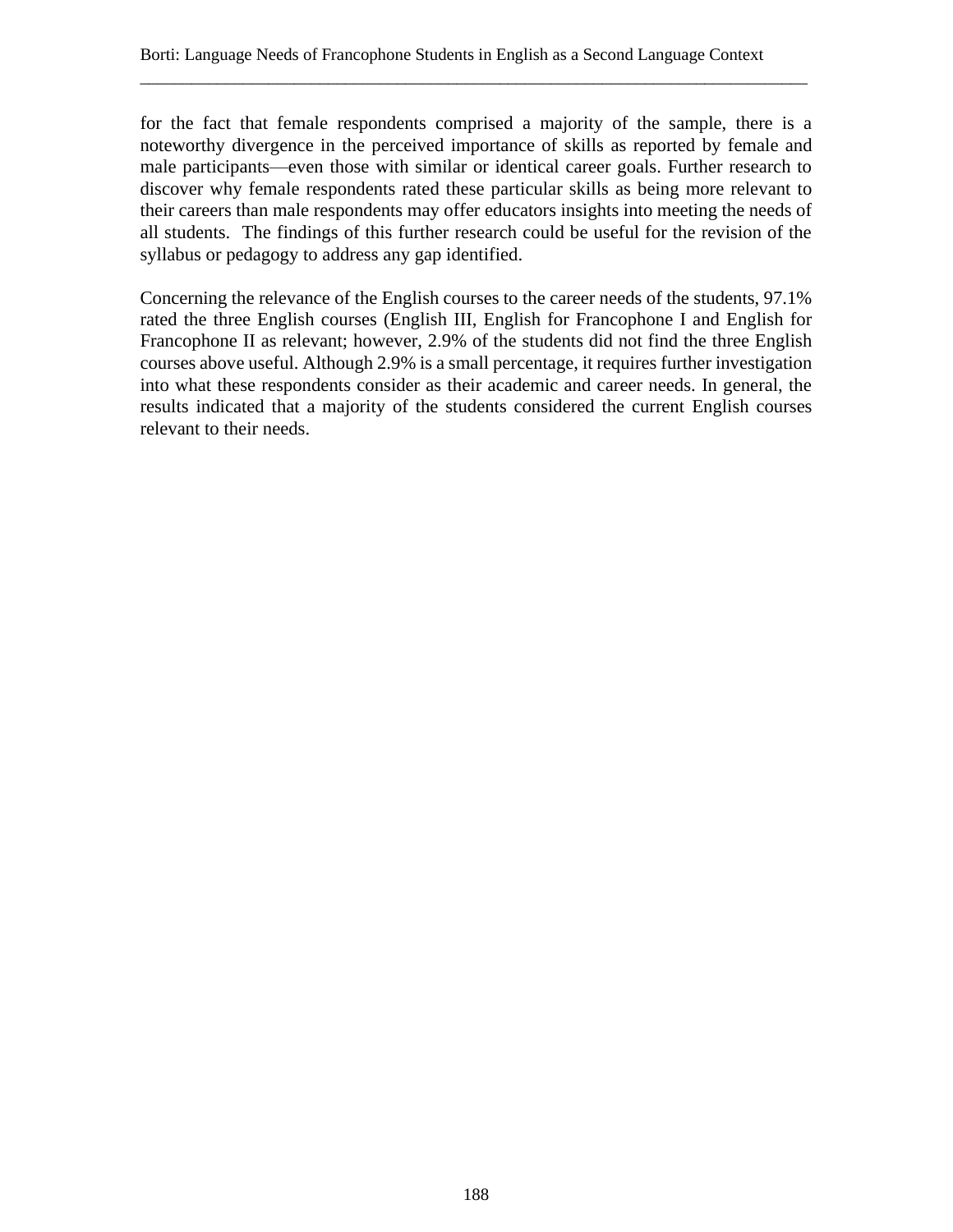for the fact that female respondents comprised a majority of the sample, there is a noteworthy divergence in the perceived importance of skills as reported by female and male participants—even those with similar or identical career goals. Further research to discover why female respondents rated these particular skills as being more relevant to their careers than male respondents may offer educators insights into meeting the needs of all students. The findings of this further research could be useful for the revision of the syllabus or pedagogy to address any gap identified.

Concerning the relevance of the English courses to the career needs of the students, 97.1% rated the three English courses (English III, English for Francophone I and English for Francophone II as relevant; however, 2.9% of the students did not find the three English courses above useful. Although 2.9% is a small percentage, it requires further investigation into what these respondents consider as their academic and career needs. In general, the results indicated that a majority of the students considered the current English courses relevant to their needs.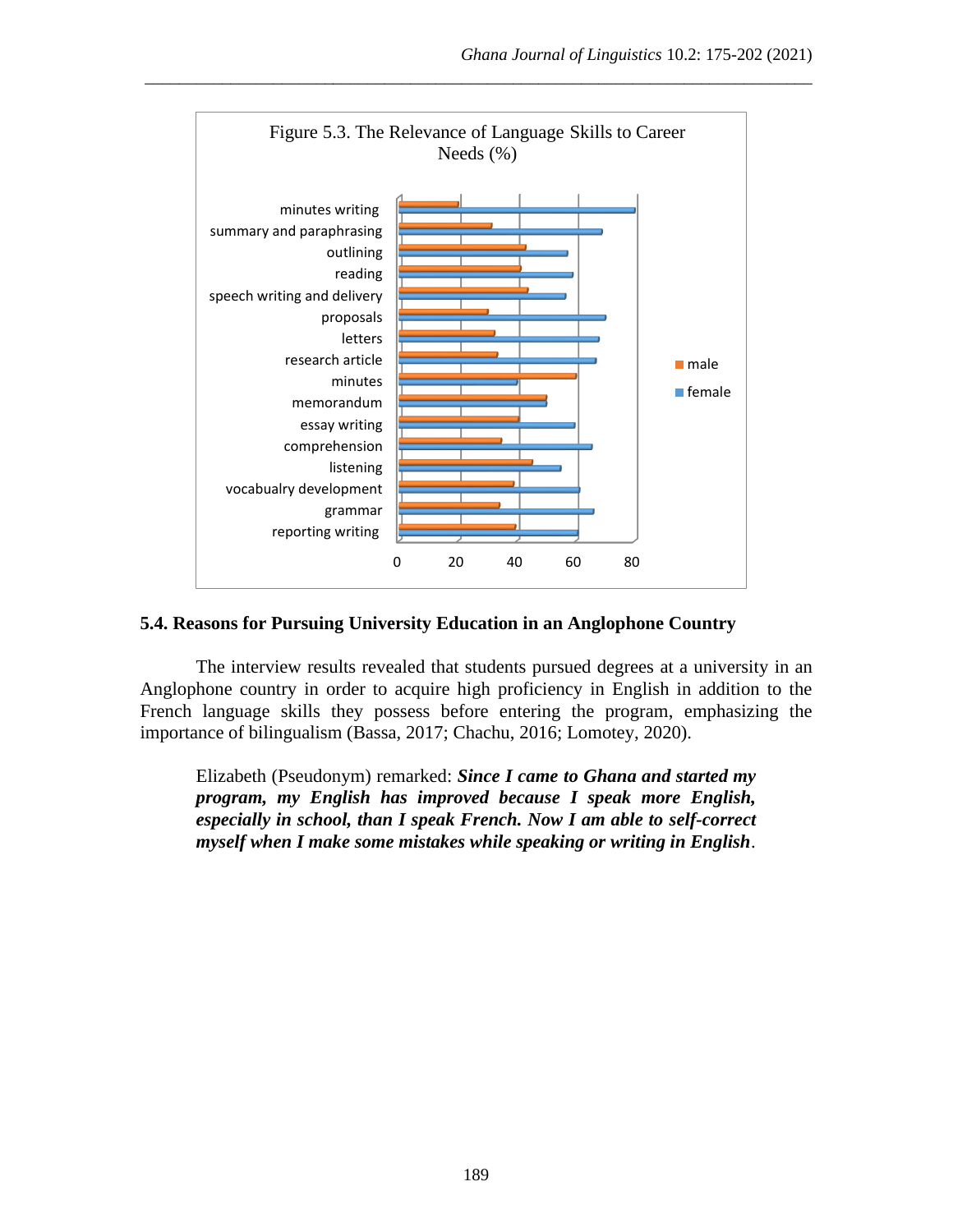

#### **5.4. Reasons for Pursuing University Education in an Anglophone Country**

The interview results revealed that students pursued degrees at a university in an Anglophone country in order to acquire high proficiency in English in addition to the French language skills they possess before entering the program, emphasizing the importance of bilingualism (Bassa, 2017; Chachu, 2016; Lomotey, 2020).

Elizabeth (Pseudonym) remarked: *Since I came to Ghana and started my program, my English has improved because I speak more English, especially in school, than I speak French. Now I am able to self-correct myself when I make some mistakes while speaking or writing in English*.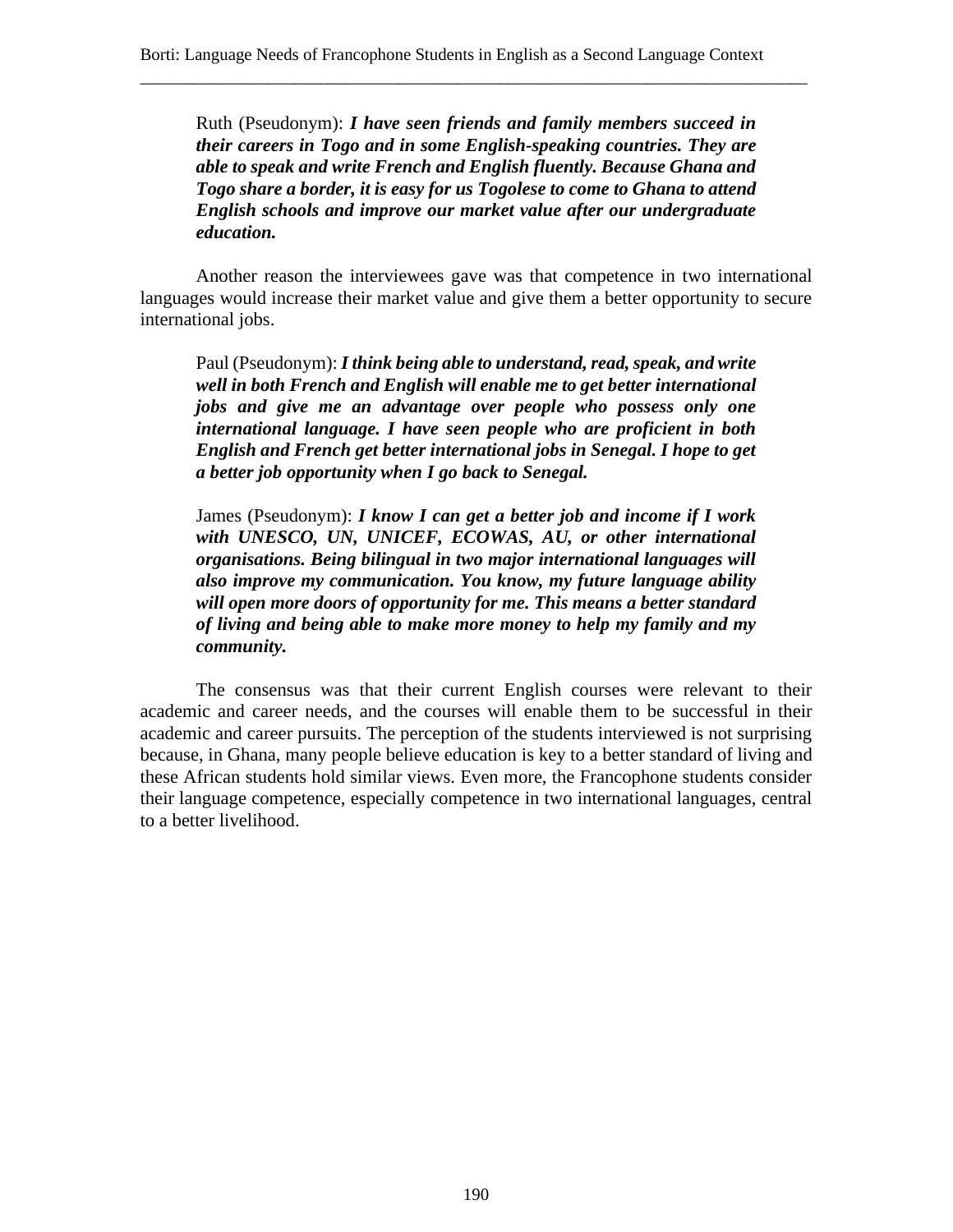Ruth (Pseudonym): *I have seen friends and family members succeed in their careers in Togo and in some English-speaking countries. They are able to speak and write French and English fluently. Because Ghana and Togo share a border, it is easy for us Togolese to come to Ghana to attend English schools and improve our market value after our undergraduate education.*

\_\_\_\_\_\_\_\_\_\_\_\_\_\_\_\_\_\_\_\_\_\_\_\_\_\_\_\_\_\_\_\_\_\_\_\_\_\_\_\_\_\_\_\_\_\_\_\_\_\_\_\_\_\_\_\_\_\_\_\_\_\_\_\_\_\_\_\_\_\_\_\_\_\_\_\_\_\_

Another reason the interviewees gave was that competence in two international languages would increase their market value and give them a better opportunity to secure international jobs.

Paul (Pseudonym): *I think being able to understand, read, speak, and write well in both French and English will enable me to get better international jobs and give me an advantage over people who possess only one international language. I have seen people who are proficient in both English and French get better international jobs in Senegal. I hope to get a better job opportunity when I go back to Senegal.*

James (Pseudonym): *I know I can get a better job and income if I work with UNESCO, UN, UNICEF, ECOWAS, AU, or other international organisations. Being bilingual in two major international languages will also improve my communication. You know, my future language ability will open more doors of opportunity for me. This means a better standard of living and being able to make more money to help my family and my community.*

The consensus was that their current English courses were relevant to their academic and career needs, and the courses will enable them to be successful in their academic and career pursuits. The perception of the students interviewed is not surprising because, in Ghana, many people believe education is key to a better standard of living and these African students hold similar views. Even more, the Francophone students consider their language competence, especially competence in two international languages, central to a better livelihood.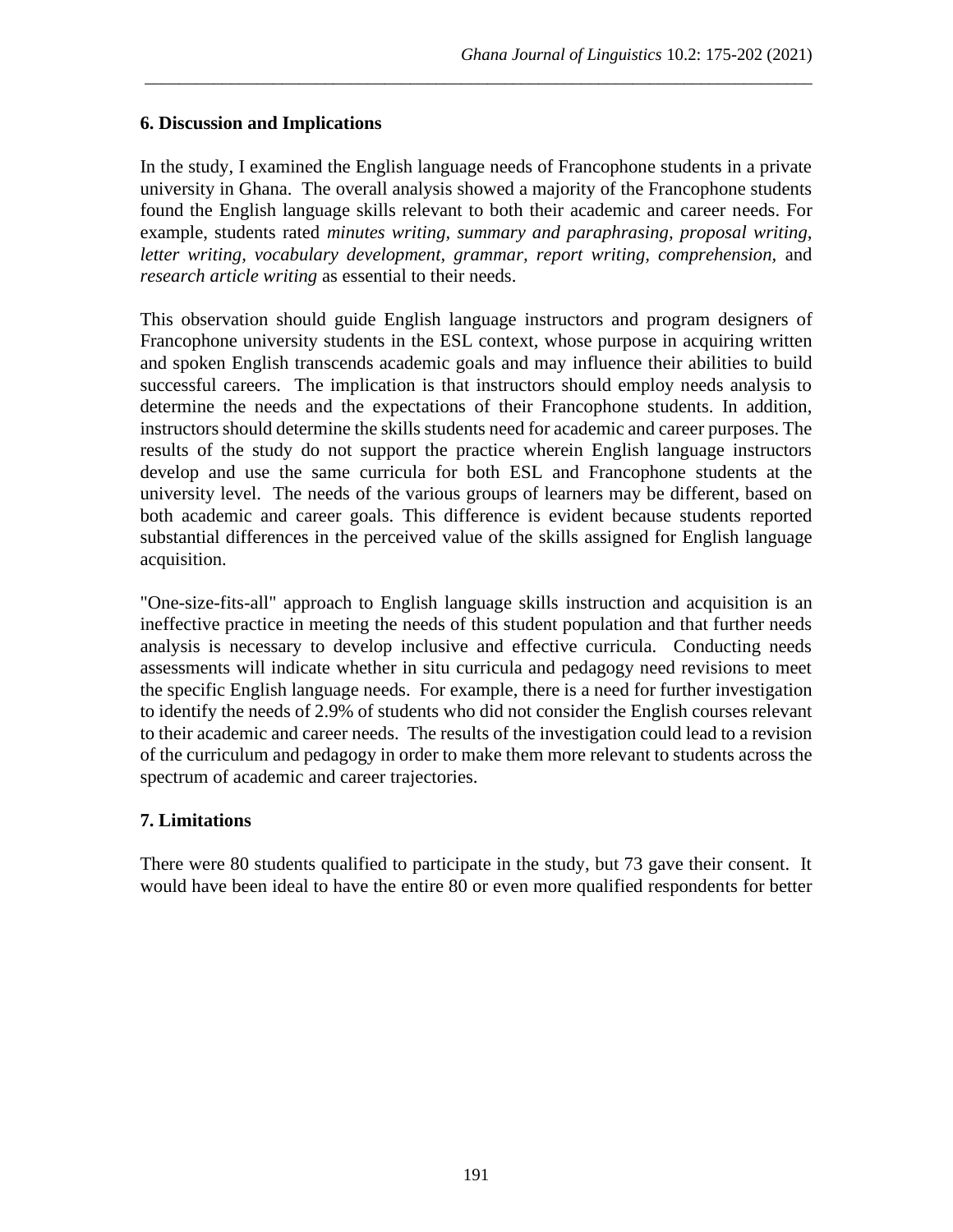## **6. Discussion and Implications**

In the study, I examined the English language needs of Francophone students in a private university in Ghana. The overall analysis showed a majority of the Francophone students found the English language skills relevant to both their academic and career needs. For example, students rated *minutes writing, summary and paraphrasing, proposal writing, letter writing, vocabulary development, grammar, report writing, comprehension,* and *research article writing* as essential to their needs.

\_\_\_\_\_\_\_\_\_\_\_\_\_\_\_\_\_\_\_\_\_\_\_\_\_\_\_\_\_\_\_\_\_\_\_\_\_\_\_\_\_\_\_\_\_\_\_\_\_\_\_\_\_\_\_\_\_\_\_\_\_\_\_\_\_\_\_\_\_\_\_\_\_\_\_\_\_\_

This observation should guide English language instructors and program designers of Francophone university students in the ESL context, whose purpose in acquiring written and spoken English transcends academic goals and may influence their abilities to build successful careers. The implication is that instructors should employ needs analysis to determine the needs and the expectations of their Francophone students. In addition, instructors should determine the skills students need for academic and career purposes. The results of the study do not support the practice wherein English language instructors develop and use the same curricula for both ESL and Francophone students at the university level. The needs of the various groups of learners may be different, based on both academic and career goals. This difference is evident because students reported substantial differences in the perceived value of the skills assigned for English language acquisition.

"One-size-fits-all" approach to English language skills instruction and acquisition is an ineffective practice in meeting the needs of this student population and that further needs analysis is necessary to develop inclusive and effective curricula. Conducting needs assessments will indicate whether in situ curricula and pedagogy need revisions to meet the specific English language needs. For example, there is a need for further investigation to identify the needs of 2.9% of students who did not consider the English courses relevant to their academic and career needs. The results of the investigation could lead to a revision of the curriculum and pedagogy in order to make them more relevant to students across the spectrum of academic and career trajectories.

# **7. Limitations**

There were 80 students qualified to participate in the study, but 73 gave their consent. It would have been ideal to have the entire 80 or even more qualified respondents for better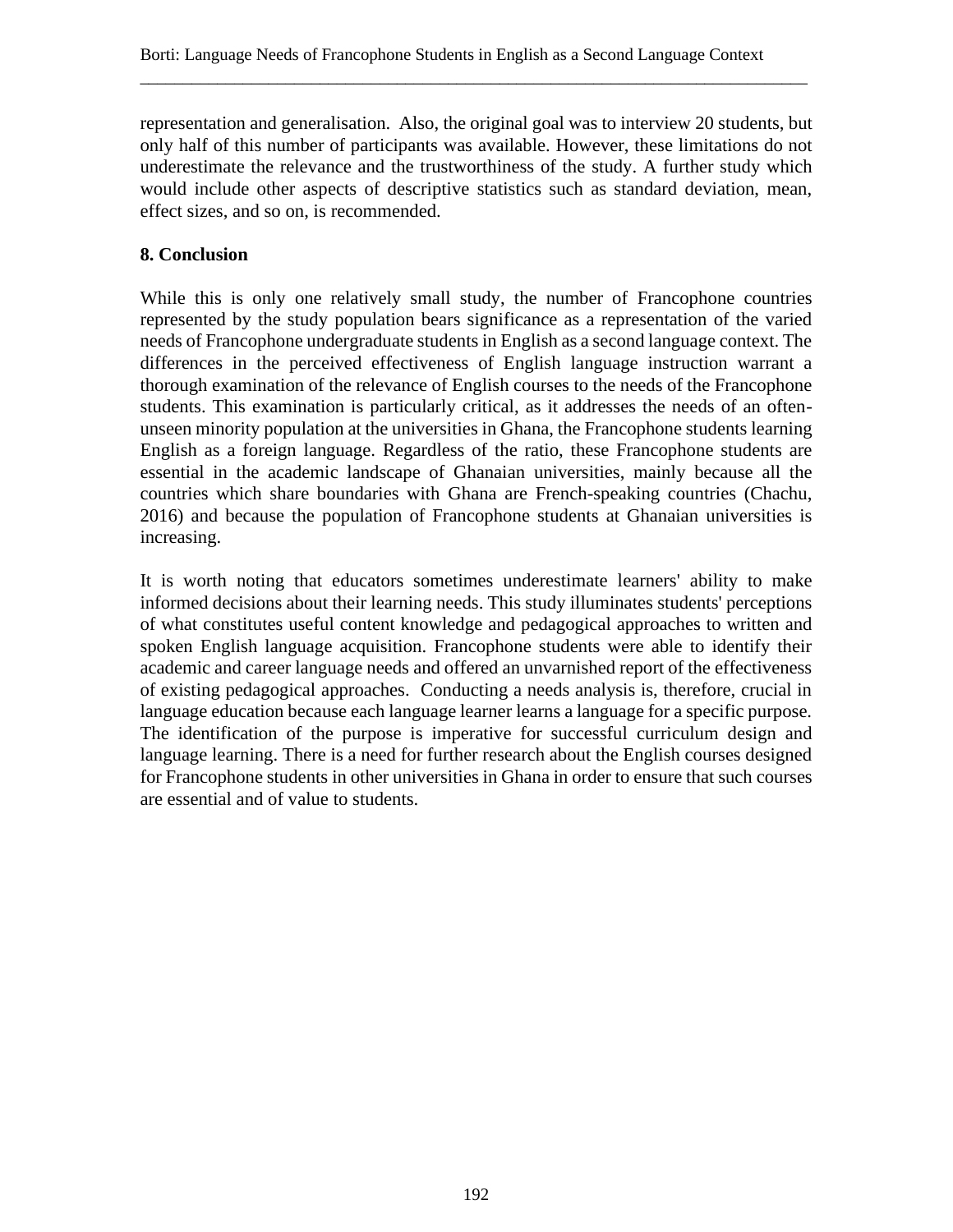representation and generalisation. Also, the original goal was to interview 20 students, but only half of this number of participants was available. However, these limitations do not underestimate the relevance and the trustworthiness of the study. A further study which would include other aspects of descriptive statistics such as standard deviation, mean, effect sizes, and so on, is recommended.

\_\_\_\_\_\_\_\_\_\_\_\_\_\_\_\_\_\_\_\_\_\_\_\_\_\_\_\_\_\_\_\_\_\_\_\_\_\_\_\_\_\_\_\_\_\_\_\_\_\_\_\_\_\_\_\_\_\_\_\_\_\_\_\_\_\_\_\_\_\_\_\_\_\_\_\_\_\_

## **8. Conclusion**

While this is only one relatively small study, the number of Francophone countries represented by the study population bears significance as a representation of the varied needs of Francophone undergraduate students in English as a second language context. The differences in the perceived effectiveness of English language instruction warrant a thorough examination of the relevance of English courses to the needs of the Francophone students. This examination is particularly critical, as it addresses the needs of an oftenunseen minority population at the universities in Ghana, the Francophone students learning English as a foreign language. Regardless of the ratio, these Francophone students are essential in the academic landscape of Ghanaian universities, mainly because all the countries which share boundaries with Ghana are French-speaking countries (Chachu, 2016) and because the population of Francophone students at Ghanaian universities is increasing.

It is worth noting that educators sometimes underestimate learners' ability to make informed decisions about their learning needs. This study illuminates students' perceptions of what constitutes useful content knowledge and pedagogical approaches to written and spoken English language acquisition. Francophone students were able to identify their academic and career language needs and offered an unvarnished report of the effectiveness of existing pedagogical approaches. Conducting a needs analysis is, therefore, crucial in language education because each language learner learns a language for a specific purpose. The identification of the purpose is imperative for successful curriculum design and language learning. There is a need for further research about the English courses designed for Francophone students in other universities in Ghana in order to ensure that such courses are essential and of value to students.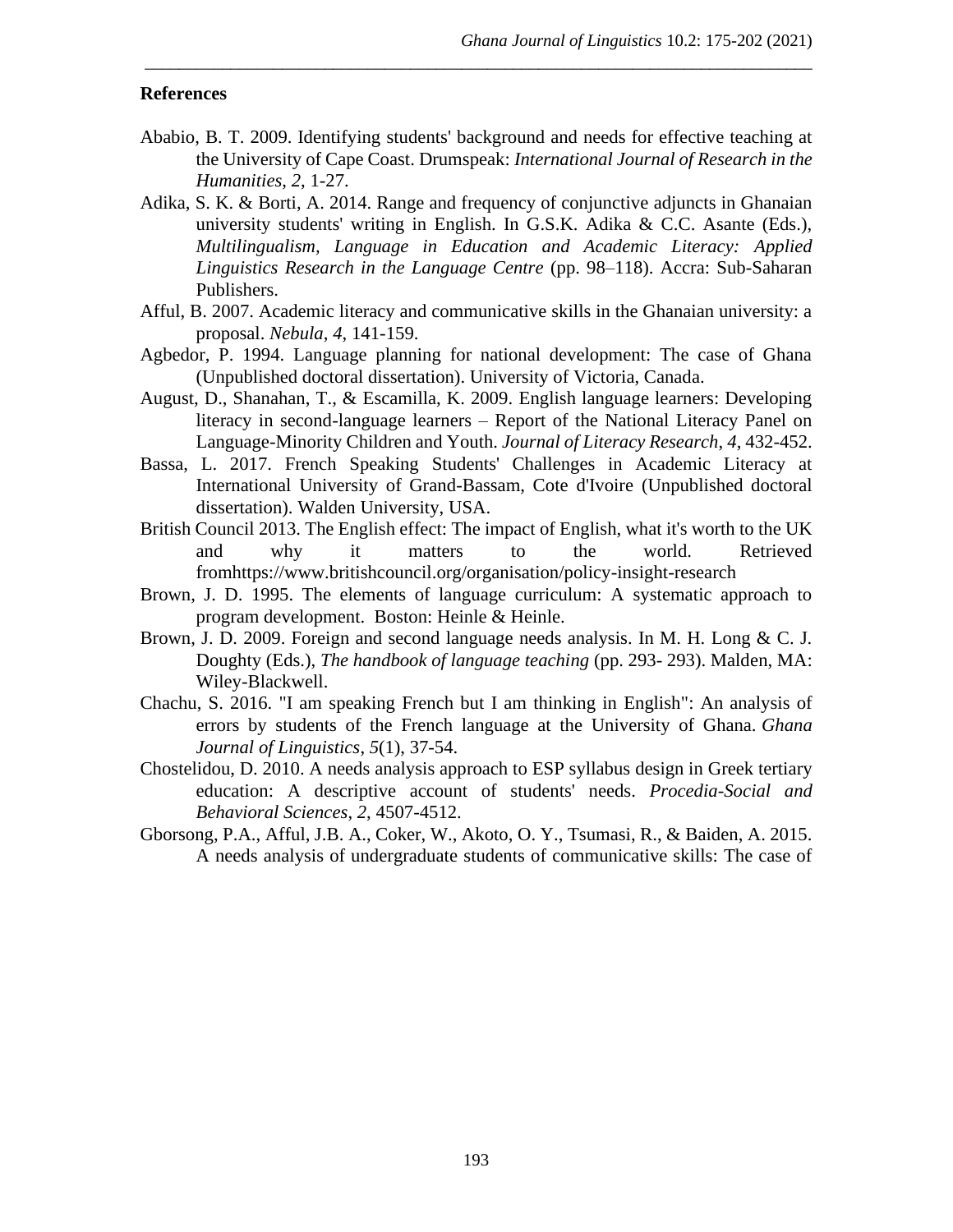#### **References**

Ababio, B. T. 2009. Identifying students' background and needs for effective teaching at the University of Cape Coast. Drumspeak: *International Journal of Research in the Humanities*, *2*, 1-27.

- Adika, S. K. & Borti, A. 2014. Range and frequency of conjunctive adjuncts in Ghanaian university students' writing in English. In G.S.K. Adika & C.C. Asante (Eds.), *Multilingualism, Language in Education and Academic Literacy: Applied Linguistics Research in the Language Centre* (pp. 98–118). Accra: Sub-Saharan Publishers.
- Afful, B. 2007. Academic literacy and communicative skills in the Ghanaian university: a proposal. *Nebula*, *4*, 141-159.
- Agbedor, P. 1994. Language planning for national development: The case of Ghana (Unpublished doctoral dissertation). University of Victoria, Canada.
- August, D., Shanahan, T., & Escamilla, K. 2009. English language learners: Developing literacy in second-language learners – Report of the National Literacy Panel on Language-Minority Children and Youth. *Journal of Literacy Research*, *4*, 432-452.
- Bassa, L. 2017. French Speaking Students' Challenges in Academic Literacy at International University of Grand-Bassam, Cote d'Ivoire (Unpublished doctoral dissertation). Walden University, USA.
- British Council 2013. The English effect: The impact of English, what it's worth to the UK and why it matters to the world. Retrieved fromhttps://www.britishcouncil.org/organisation/policy-insight-research
- Brown, J. D. 1995. The elements of language curriculum: A systematic approach to program development. Boston: Heinle & Heinle.
- Brown, J. D. 2009. Foreign and second language needs analysis. In M. H. Long & C. J. Doughty (Eds.), *The handbook of language teaching* (pp. 293- 293). Malden, MA: Wiley-Blackwell.
- Chachu, S. 2016. "I am speaking French but I am thinking in English": An analysis of errors by students of the French language at the University of Ghana. *Ghana Journal of Linguistics*, *5*(1), 37-54.
- Chostelidou, D. 2010. A needs analysis approach to ESP syllabus design in Greek tertiary education: A descriptive account of students' needs. *Procedia-Social and Behavioral Sciences*, *2*, 4507-4512.
- Gborsong, P.A., Afful, J.B. A., Coker, W., Akoto, O. Y., Tsumasi, R., & Baiden, A. 2015. A needs analysis of undergraduate students of communicative skills: The case of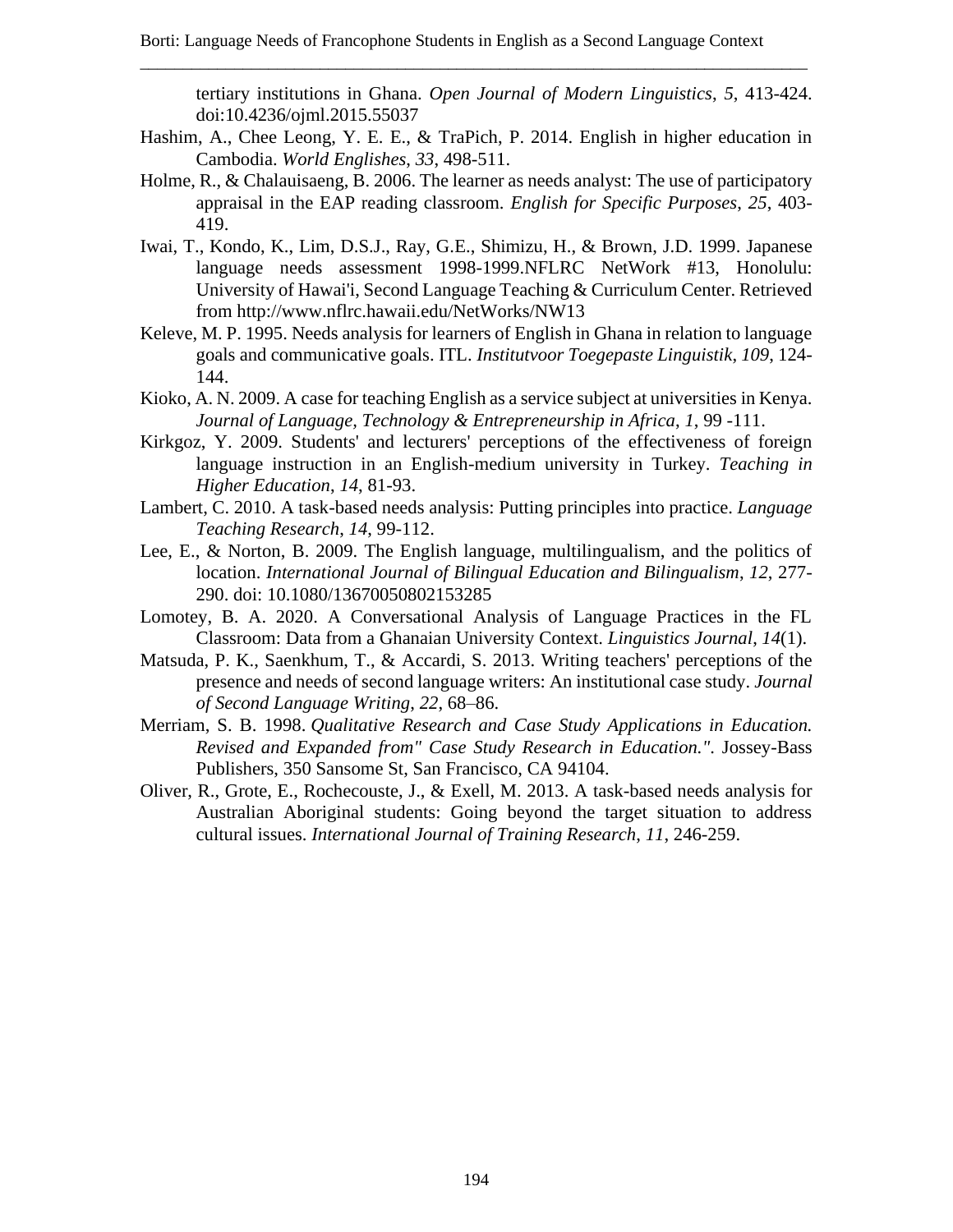tertiary institutions in Ghana. *Open Journal of Modern Linguistics*, *5*, 413-424. doi:10.4236/ojml.2015.55037

Hashim, A., Chee Leong, Y. E. E., & TraPich, P. 2014. English in higher education in Cambodia. *World Englishes*, *33*, 498-511.

- Holme, R., & Chalauisaeng, B. 2006. The learner as needs analyst: The use of participatory appraisal in the EAP reading classroom. *English for Specific Purposes*, *25*, 403- 419.
- Iwai, T., Kondo, K., Lim, D.S.J., Ray, G.E., Shimizu, H., & Brown, J.D. 1999. Japanese language needs assessment 1998-1999.NFLRC NetWork #13, Honolulu: University of Hawai'i, Second Language Teaching & Curriculum Center. Retrieved from http://www.nflrc.hawaii.edu/NetWorks/NW13
- Keleve, M. P. 1995. Needs analysis for learners of English in Ghana in relation to language goals and communicative goals. ITL. *Institutvoor Toegepaste Linguistik*, *109*, 124- 144.
- Kioko, A. N. 2009. A case for teaching English as a service subject at universities in Kenya. *Journal of Language, Technology & Entrepreneurship in Africa*, *1*, 99 -111.
- Kirkgoz, Y. 2009. Students' and lecturers' perceptions of the effectiveness of foreign language instruction in an English-medium university in Turkey. *Teaching in Higher Education*, *14*, 81-93.
- Lambert, C. 2010. A task-based needs analysis: Putting principles into practice. *Language Teaching Research*, *14*, 99-112.
- Lee, E., & Norton, B. 2009. The English language, multilingualism, and the politics of location. *International Journal of Bilingual Education and Bilingualism*, *12*, 277- 290. doi: 10.1080/13670050802153285
- Lomotey, B. A. 2020. A Conversational Analysis of Language Practices in the FL Classroom: Data from a Ghanaian University Context. *Linguistics Journal*, *14*(1).
- Matsuda, P. K., Saenkhum, T., & Accardi, S. 2013. Writing teachers' perceptions of the presence and needs of second language writers: An institutional case study. *Journal of Second Language Writing*, *22*, 68–86.
- Merriam, S. B. 1998. *Qualitative Research and Case Study Applications in Education. Revised and Expanded from" Case Study Research in Education."*. Jossey-Bass Publishers, 350 Sansome St, San Francisco, CA 94104.
- Oliver, R., Grote, E., Rochecouste, J., & Exell, M. 2013. A task-based needs analysis for Australian Aboriginal students: Going beyond the target situation to address cultural issues. *International Journal of Training Research*, *11*, 246-259.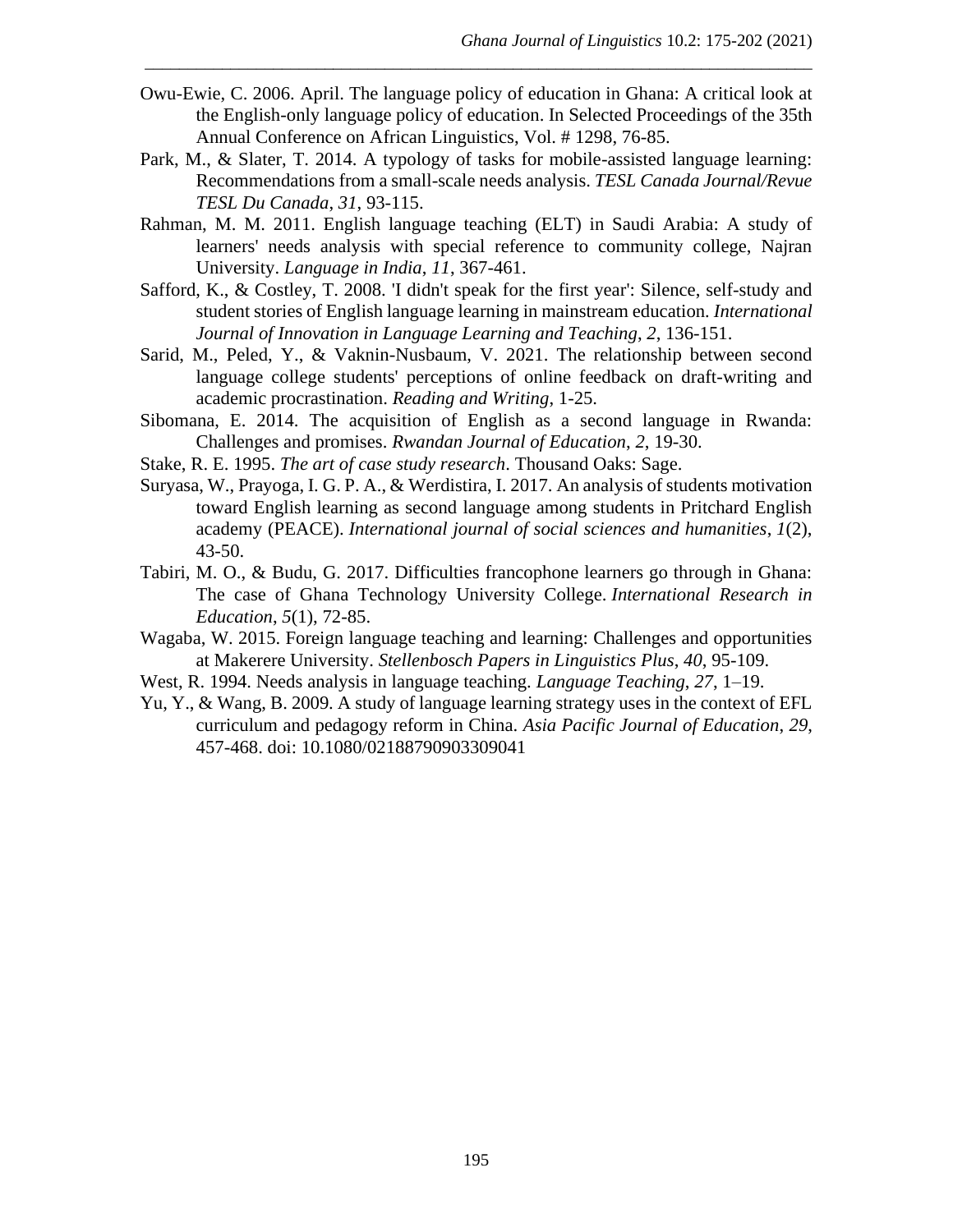Owu-Ewie, C. 2006. April. The language policy of education in Ghana: A critical look at the English-only language policy of education. In Selected Proceedings of the 35th Annual Conference on African Linguistics, Vol. # 1298, 76-85.

- Park, M., & Slater, T. 2014. A typology of tasks for mobile-assisted language learning: Recommendations from a small-scale needs analysis. *TESL Canada Journal/Revue TESL Du Canada*, *31*, 93-115.
- Rahman, M. M. 2011. English language teaching (ELT) in Saudi Arabia: A study of learners' needs analysis with special reference to community college, Najran University. *Language in India*, *11*, 367-461.
- Safford, K., & Costley, T. 2008. 'I didn't speak for the first year': Silence, self-study and student stories of English language learning in mainstream education*. International Journal of Innovation in Language Learning and Teaching*, *2*, 136-151.
- Sarid, M., Peled, Y., & Vaknin-Nusbaum, V. 2021. The relationship between second language college students' perceptions of online feedback on draft-writing and academic procrastination. *Reading and Writing*, 1-25.
- Sibomana, E. 2014. The acquisition of English as a second language in Rwanda: Challenges and promises. *Rwandan Journal of Education*, *2*, 19-30.
- Stake, R. E. 1995. *The art of case study research*. Thousand Oaks: Sage.
- Suryasa, W., Prayoga, I. G. P. A., & Werdistira, I. 2017. An analysis of students motivation toward English learning as second language among students in Pritchard English academy (PEACE). *International journal of social sciences and humanities*, *1*(2), 43-50.
- Tabiri, M. O., & Budu, G. 2017. Difficulties francophone learners go through in Ghana: The case of Ghana Technology University College. *International Research in Education*, *5*(1), 72-85.
- Wagaba, W. 2015. Foreign language teaching and learning: Challenges and opportunities at Makerere University. *Stellenbosch Papers in Linguistics Plus*, *40*, 95-109.
- West, R. 1994. Needs analysis in language teaching. *Language Teaching*, *27*, 1–19.
- Yu, Y., & Wang, B. 2009. A study of language learning strategy uses in the context of EFL curriculum and pedagogy reform in China. *Asia Pacific Journal of Education*, *29*, 457-468. doi: 10.1080/02188790903309041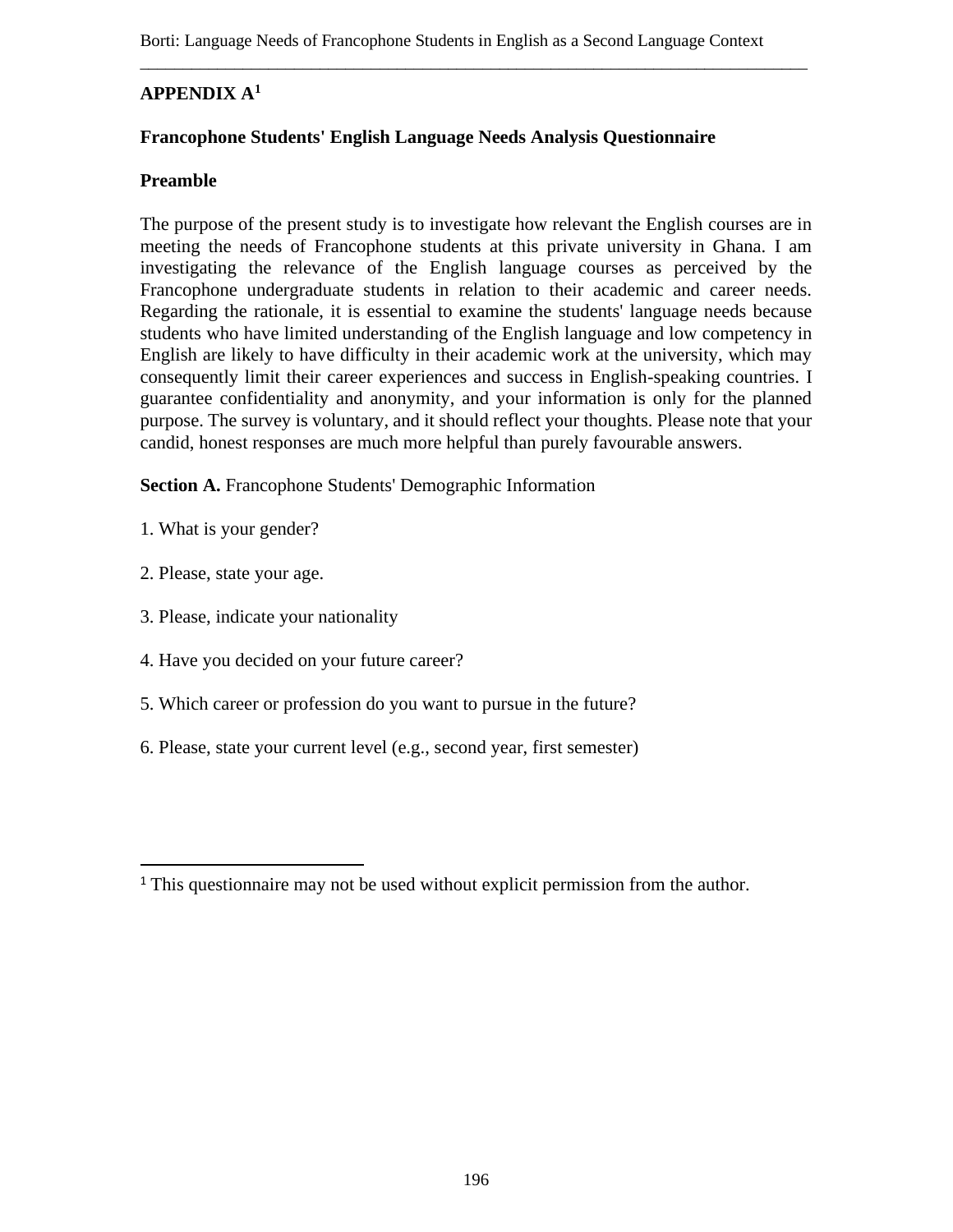# **APPENDIX A<sup>1</sup>**

#### **Francophone Students' English Language Needs Analysis Questionnaire**

#### **Preamble**

The purpose of the present study is to investigate how relevant the English courses are in meeting the needs of Francophone students at this private university in Ghana. I am investigating the relevance of the English language courses as perceived by the Francophone undergraduate students in relation to their academic and career needs. Regarding the rationale, it is essential to examine the students' language needs because students who have limited understanding of the English language and low competency in English are likely to have difficulty in their academic work at the university, which may consequently limit their career experiences and success in English-speaking countries. I guarantee confidentiality and anonymity, and your information is only for the planned purpose. The survey is voluntary, and it should reflect your thoughts. Please note that your candid, honest responses are much more helpful than purely favourable answers.

**Section A.** Francophone Students' Demographic Information

- 1. What is your gender?
- 2. Please, state your age.
- 3. Please, indicate your nationality
- 4. Have you decided on your future career?
- 5. Which career or profession do you want to pursue in the future?
- 6. Please, state your current level (e.g., second year, first semester)

<sup>&</sup>lt;sup>1</sup> This questionnaire may not be used without explicit permission from the author.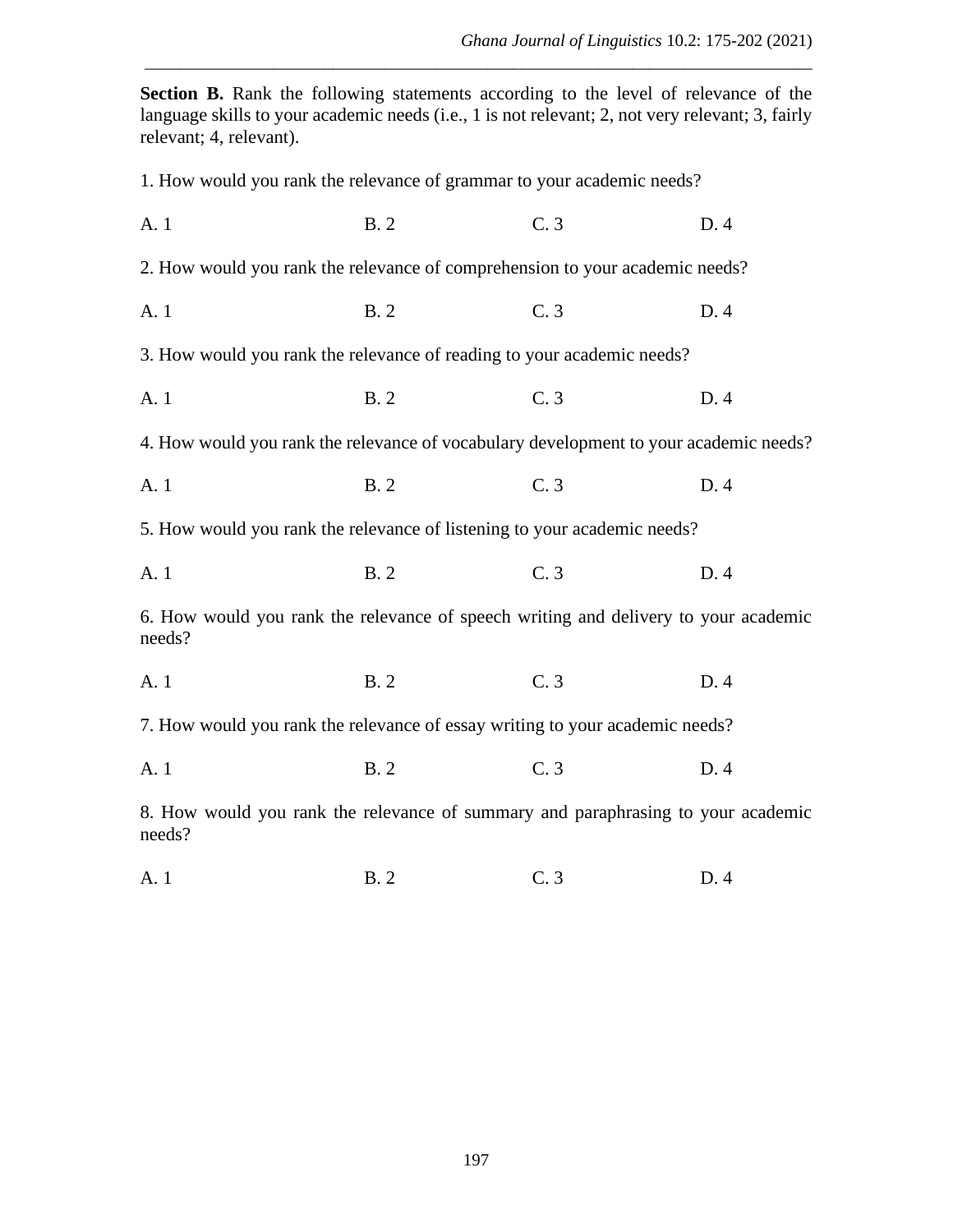*Ghana Journal of Linguistics* 10.2: 175-202 (2021)

**Section B.** Rank the following statements according to the level of relevance of the language skills to your academic needs (i.e., 1 is not relevant; 2, not very relevant; 3, fairly relevant; 4, relevant).

\_\_\_\_\_\_\_\_\_\_\_\_\_\_\_\_\_\_\_\_\_\_\_\_\_\_\_\_\_\_\_\_\_\_\_\_\_\_\_\_\_\_\_\_\_\_\_\_\_\_\_\_\_\_\_\_\_\_\_\_\_\_\_\_\_\_\_\_\_\_\_\_\_\_\_\_\_\_

1. How would you rank the relevance of grammar to your academic needs? A. 1 B. 2 C. 3 D. 4 2. How would you rank the relevance of comprehension to your academic needs? A. 1 B. 2 C. 3 D. 4 3. How would you rank the relevance of reading to your academic needs? A. 1 B. 2 C. 3 D. 4 4. How would you rank the relevance of vocabulary development to your academic needs? A. 1 B. 2 C. 3 D. 4 5. How would you rank the relevance of listening to your academic needs? A. 1 B. 2 C. 3 D. 4 6. How would you rank the relevance of speech writing and delivery to your academic needs? A. 1 B. 2 C. 3 D. 4 7. How would you rank the relevance of essay writing to your academic needs? A. 1 B. 2 C. 3 D. 4 8. How would you rank the relevance of summary and paraphrasing to your academic needs?

A. 1 B. 2 C. 3 D. 4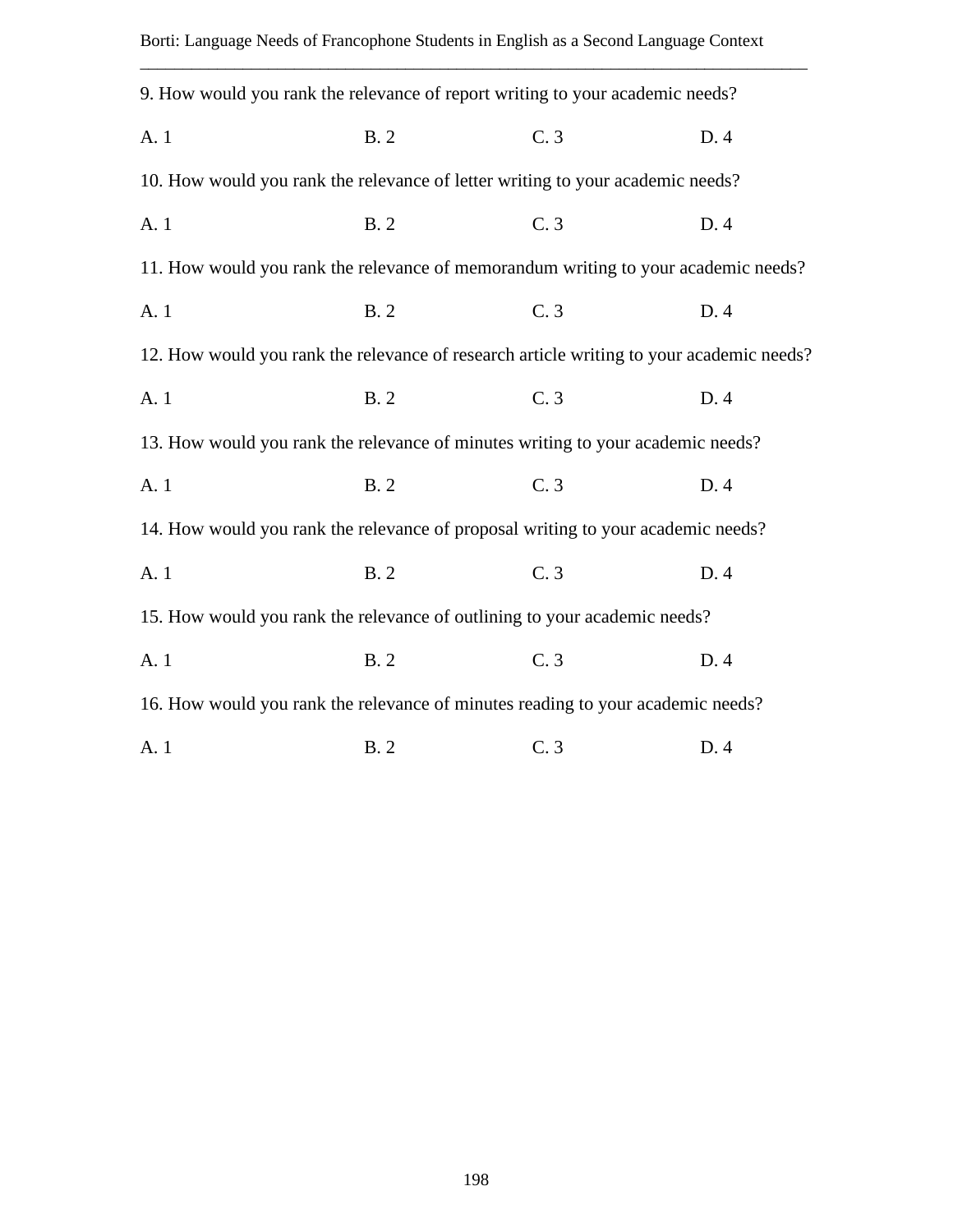| 9. How would you rank the relevance of report writing to your academic needs?            |            |     |      |
|------------------------------------------------------------------------------------------|------------|-----|------|
| A. 1                                                                                     | <b>B.2</b> | C.3 | D. 4 |
| 10. How would you rank the relevance of letter writing to your academic needs?           |            |     |      |
| A. 1                                                                                     | <b>B.2</b> | C.3 | D. 4 |
| 11. How would you rank the relevance of memorandum writing to your academic needs?       |            |     |      |
| A. 1                                                                                     | <b>B.2</b> | C.3 | D.4  |
| 12. How would you rank the relevance of research article writing to your academic needs? |            |     |      |
| A. 1                                                                                     | <b>B.2</b> | C.3 | D. 4 |
| 13. How would you rank the relevance of minutes writing to your academic needs?          |            |     |      |
| A. 1                                                                                     | <b>B.2</b> | C.3 | D. 4 |
| 14. How would you rank the relevance of proposal writing to your academic needs?         |            |     |      |
| A. 1                                                                                     | <b>B.2</b> | C.3 | D. 4 |
| 15. How would you rank the relevance of outlining to your academic needs?                |            |     |      |
| A. 1                                                                                     | <b>B.2</b> | C.3 | D. 4 |
| 16. How would you rank the relevance of minutes reading to your academic needs?          |            |     |      |
| A. 1                                                                                     | <b>B.2</b> | C.3 | D.4  |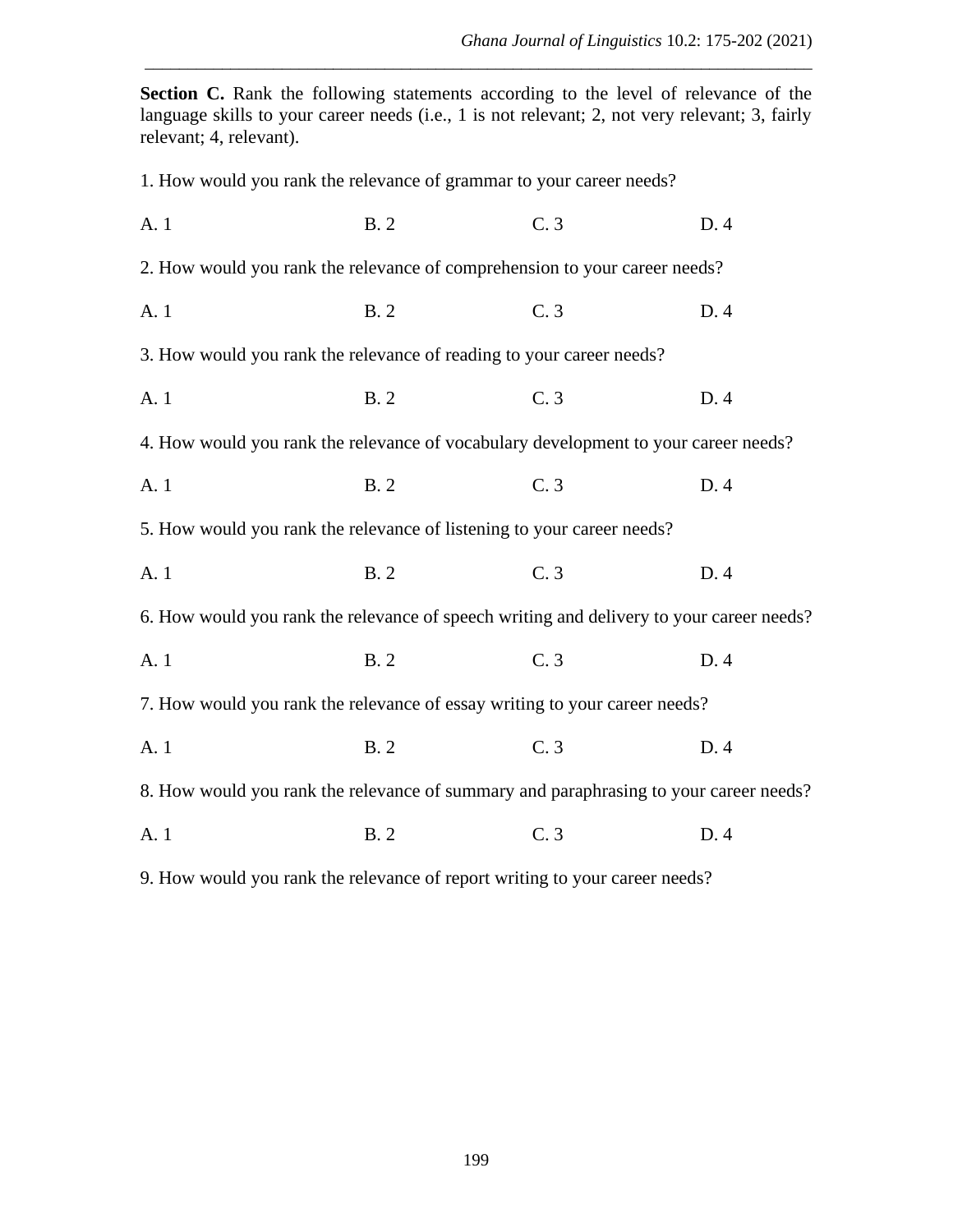*Ghana Journal of Linguistics* 10.2: 175-202 (2021)

Section C. Rank the following statements according to the level of relevance of the language skills to your career needs (i.e., 1 is not relevant; 2, not very relevant; 3, fairly relevant; 4, relevant).

\_\_\_\_\_\_\_\_\_\_\_\_\_\_\_\_\_\_\_\_\_\_\_\_\_\_\_\_\_\_\_\_\_\_\_\_\_\_\_\_\_\_\_\_\_\_\_\_\_\_\_\_\_\_\_\_\_\_\_\_\_\_\_\_\_\_\_\_\_\_\_\_\_\_\_\_\_\_

1. How would you rank the relevance of grammar to your career needs?

| A. 1                                                                                     | <b>B.2</b> | C.3 | D. 4 |
|------------------------------------------------------------------------------------------|------------|-----|------|
| 2. How would you rank the relevance of comprehension to your career needs?               |            |     |      |
| A. 1                                                                                     | <b>B.2</b> | C.3 | D.4  |
| 3. How would you rank the relevance of reading to your career needs?                     |            |     |      |
| A. 1                                                                                     | <b>B.2</b> | C.3 | D. 4 |
| 4. How would you rank the relevance of vocabulary development to your career needs?      |            |     |      |
| A. 1                                                                                     | <b>B.2</b> | C.3 | D. 4 |
| 5. How would you rank the relevance of listening to your career needs?                   |            |     |      |
| A. 1                                                                                     | <b>B.2</b> | C.3 | D.4  |
| 6. How would you rank the relevance of speech writing and delivery to your career needs? |            |     |      |
| A. 1                                                                                     | <b>B.2</b> | C.3 | D. 4 |
| 7. How would you rank the relevance of essay writing to your career needs?               |            |     |      |
| A. 1                                                                                     | <b>B.2</b> | C.3 | D. 4 |
| 8. How would you rank the relevance of summary and paraphrasing to your career needs?    |            |     |      |
| A. 1                                                                                     | <b>B.2</b> | C.3 | D. 4 |
|                                                                                          |            |     |      |

9. How would you rank the relevance of report writing to your career needs?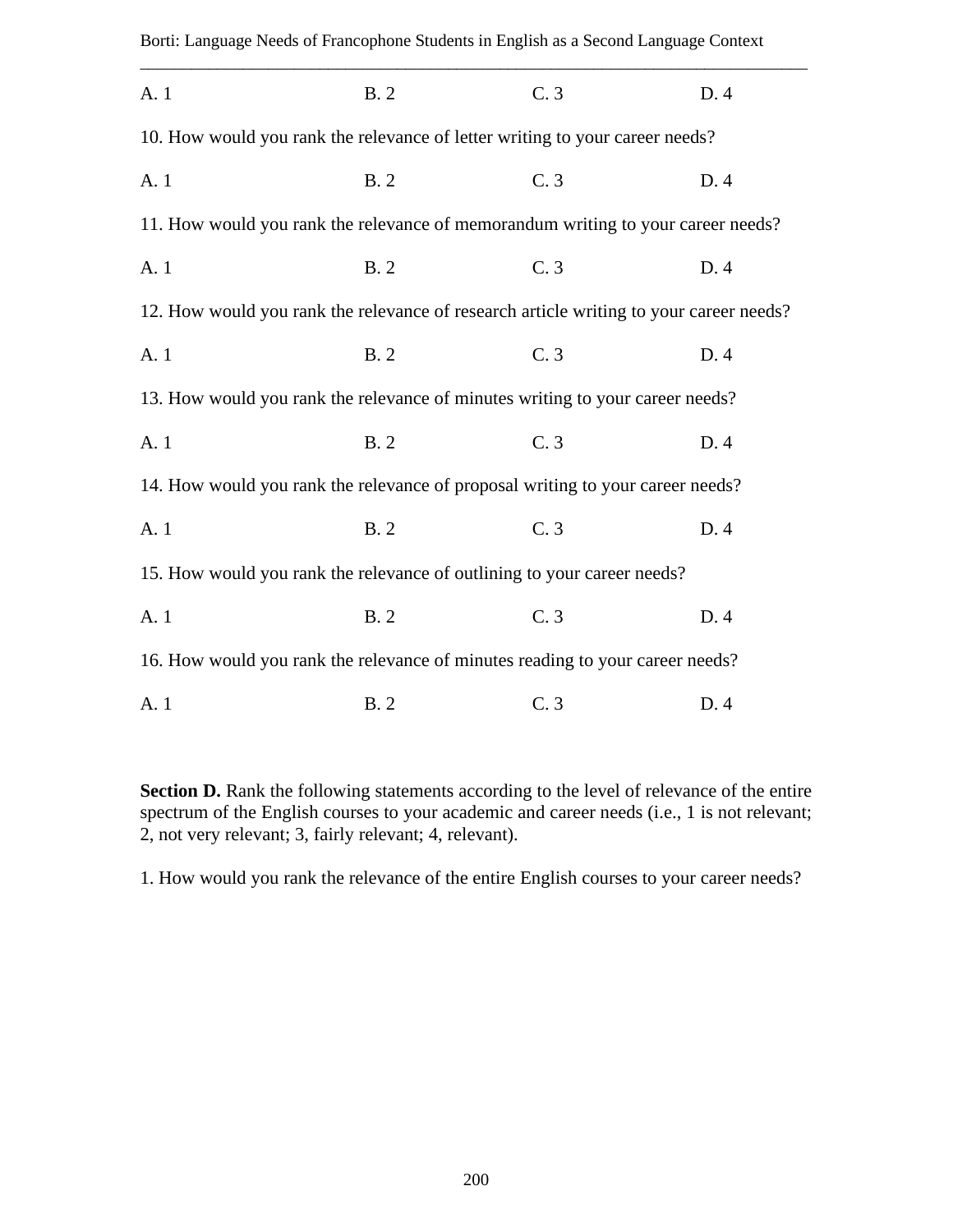| Borti: Language Needs of Francophone Students in English as a Second Language Context  |            |     |      |
|----------------------------------------------------------------------------------------|------------|-----|------|
| A. 1                                                                                   | <b>B.2</b> | C.3 | D. 4 |
| 10. How would you rank the relevance of letter writing to your career needs?           |            |     |      |
| A. 1                                                                                   | <b>B.2</b> | C.3 | D. 4 |
| 11. How would you rank the relevance of memorandum writing to your career needs?       |            |     |      |
| A. 1                                                                                   | <b>B.2</b> | C.3 | D. 4 |
| 12. How would you rank the relevance of research article writing to your career needs? |            |     |      |
| A. 1                                                                                   | <b>B.2</b> | C.3 | D.4  |
| 13. How would you rank the relevance of minutes writing to your career needs?          |            |     |      |
| A. 1                                                                                   | <b>B.2</b> | C.3 | D. 4 |
| 14. How would you rank the relevance of proposal writing to your career needs?         |            |     |      |
| A. 1                                                                                   | <b>B.2</b> | C.3 | D.4  |
| 15. How would you rank the relevance of outlining to your career needs?                |            |     |      |
| A. 1                                                                                   | <b>B.2</b> | C.3 | D. 4 |
| 16. How would you rank the relevance of minutes reading to your career needs?          |            |     |      |
| A. 1                                                                                   | <b>B.2</b> | C.3 | D. 4 |

Section D. Rank the following statements according to the level of relevance of the entire spectrum of the English courses to your academic and career needs (i.e., 1 is not relevant; 2, not very relevant; 3, fairly relevant; 4, relevant).

1. How would you rank the relevance of the entire English courses to your career needs?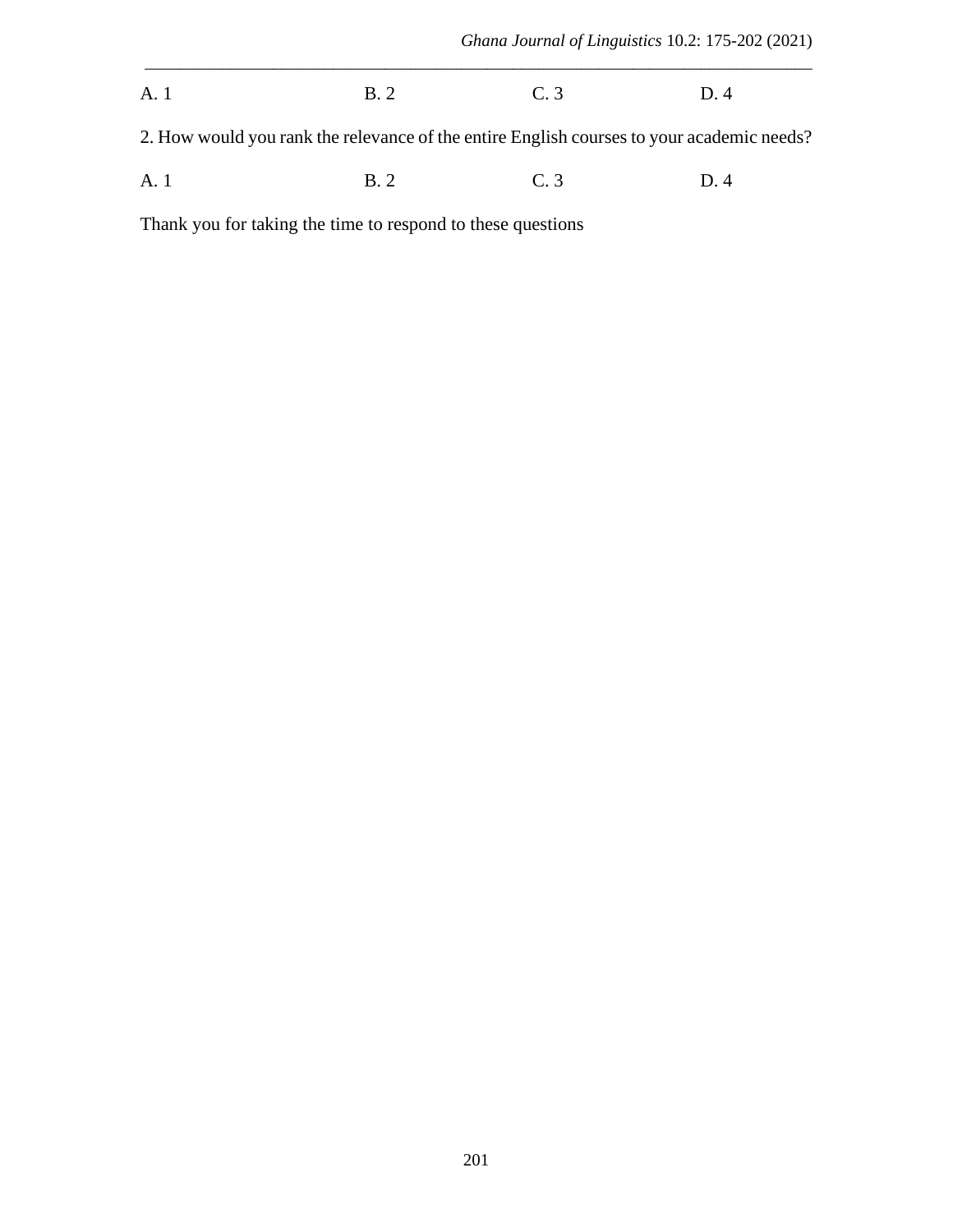| A. 1 | <b>B.2</b> | C.3 | D. 4 |
|------|------------|-----|------|
|      |            |     |      |

2. How would you rank the relevance of the entire English courses to your academic needs?

\_\_\_\_\_\_\_\_\_\_\_\_\_\_\_\_\_\_\_\_\_\_\_\_\_\_\_\_\_\_\_\_\_\_\_\_\_\_\_\_\_\_\_\_\_\_\_\_\_\_\_\_\_\_\_\_\_\_\_\_\_\_\_\_\_\_\_\_\_\_\_\_\_\_\_\_\_\_

|  | A. 1 | B.2 | $\cap$ $\cap$<br>C.3 | D.4 |
|--|------|-----|----------------------|-----|
|--|------|-----|----------------------|-----|

Thank you for taking the time to respond to these questions